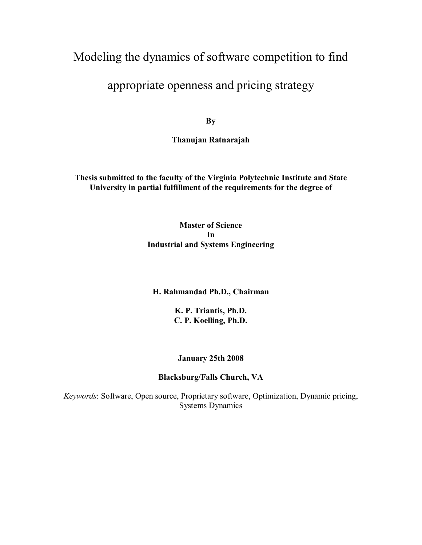# Modeling the dynamics of software competition to find

# appropriate openness and pricing strategy

**By** 

**Thanujan Ratnarajah** 

**Thesis submitted to the faculty of the Virginia Polytechnic Institute and State University in partial fulfillment of the requirements for the degree of** 

> **Master of Science In Industrial and Systems Engineering**

#### **H. Rahmandad Ph.D., Chairman**

**K. P. Triantis, Ph.D. C. P. Koelling, Ph.D.**

#### **January 25th 2008**

## **Blacksburg/Falls Church, VA**

*Keywords*: Software, Open source, Proprietary software, Optimization, Dynamic pricing, Systems Dynamics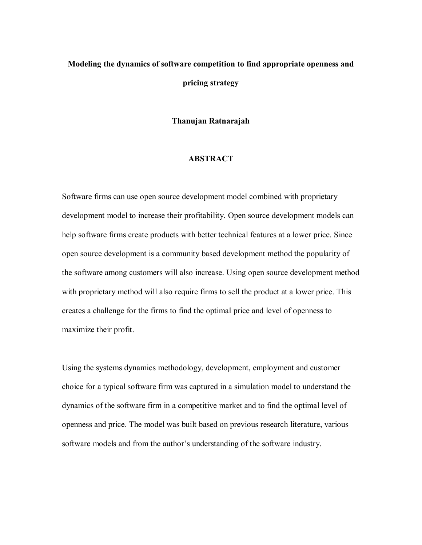# **Modeling the dynamics of software competition to find appropriate openness and pricing strategy**

**Thanujan Ratnarajah** 

#### **ABSTRACT**

Software firms can use open source development model combined with proprietary development model to increase their profitability. Open source development models can help software firms create products with better technical features at a lower price. Since open source development is a community based development method the popularity of the software among customers will also increase. Using open source development method with proprietary method will also require firms to sell the product at a lower price. This creates a challenge for the firms to find the optimal price and level of openness to maximize their profit.

Using the systems dynamics methodology, development, employment and customer choice for a typical software firm was captured in a simulation model to understand the dynamics of the software firm in a competitive market and to find the optimal level of openness and price. The model was built based on previous research literature, various software models and from the author's understanding of the software industry.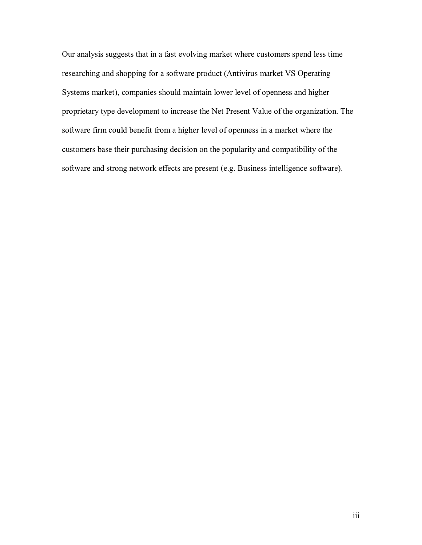Our analysis suggests that in a fast evolving market where customers spend less time researching and shopping for a software product (Antivirus market VS Operating Systems market), companies should maintain lower level of openness and higher proprietary type development to increase the Net Present Value of the organization. The software firm could benefit from a higher level of openness in a market where the customers base their purchasing decision on the popularity and compatibility of the software and strong network effects are present (e.g. Business intelligence software).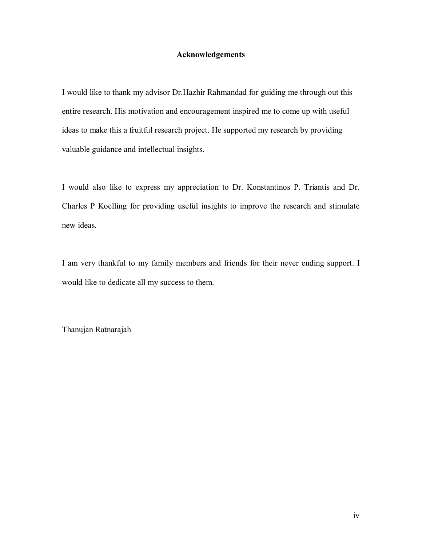#### **Acknowledgements**

I would like to thank my advisor Dr.Hazhir Rahmandad for guiding me through out this entire research. His motivation and encouragement inspired me to come up with useful ideas to make this a fruitful research project. He supported my research by providing valuable guidance and intellectual insights.

I would also like to express my appreciation to Dr. Konstantinos P. Triantis and Dr. Charles P Koelling for providing useful insights to improve the research and stimulate new ideas.

I am very thankful to my family members and friends for their never ending support. I would like to dedicate all my success to them.

Thanujan Ratnarajah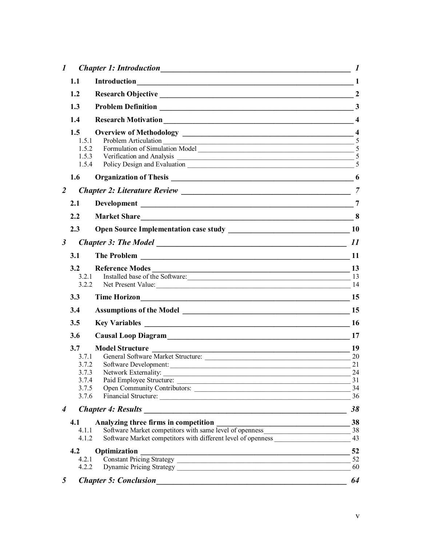| $\boldsymbol{l}$     |                |                                                                                                                                                                                                                                | $\boldsymbol{l}$ |
|----------------------|----------------|--------------------------------------------------------------------------------------------------------------------------------------------------------------------------------------------------------------------------------|------------------|
|                      | 1.1            | Introduction 1                                                                                                                                                                                                                 |                  |
|                      | 1.2            |                                                                                                                                                                                                                                | $\overline{2}$   |
|                      | 1.3            |                                                                                                                                                                                                                                | $\mathbf{3}$     |
|                      | 1.4            |                                                                                                                                                                                                                                |                  |
|                      | 1.5            |                                                                                                                                                                                                                                |                  |
|                      | 1.5.1          | Problem Articulation 5                                                                                                                                                                                                         |                  |
|                      | 1.5.2<br>1.5.3 |                                                                                                                                                                                                                                |                  |
|                      | 1.5.4          |                                                                                                                                                                                                                                | 5                |
|                      | 1.6            | Organization of Thesis 2008 and 2008 and 2008 and 2008 and 2008 and 2008 and 2008 and 2008 and 2008 and 2008 and 2008 and 2008 and 2008 and 2008 and 2008 and 2008 and 2008 and 2008 and 2008 and 2008 and 2008 and 2008 and 2 |                  |
| 2                    |                |                                                                                                                                                                                                                                | $\overline{7}$   |
|                      | 2.1            |                                                                                                                                                                                                                                | $\overline{7}$   |
|                      | 2.2            | Market Share 8                                                                                                                                                                                                                 |                  |
|                      | 2.3            |                                                                                                                                                                                                                                | <b>10</b>        |
| $\boldsymbol{\beta}$ |                |                                                                                                                                                                                                                                | 11               |
|                      | 3.1            |                                                                                                                                                                                                                                |                  |
|                      | 3.2            |                                                                                                                                                                                                                                |                  |
|                      | 3.2.1          | Installed base of the Software: 13                                                                                                                                                                                             |                  |
|                      | 3.2.2          | Net Present Value: 14                                                                                                                                                                                                          |                  |
|                      | 3.3            | Time Horizon                                                                                                                                                                                                                   | 15               |
|                      | 3.4            |                                                                                                                                                                                                                                | 15               |
|                      | 3.5            |                                                                                                                                                                                                                                | <b>16</b>        |
|                      | 3.6            | Causal Loop Diagram                                                                                                                                                                                                            | 17               |
|                      | 3.7            | <b>Model Structure</b>                                                                                                                                                                                                         | 19               |
|                      | 3.7.1<br>3.7.2 | General Software Market Structure:                                                                                                                                                                                             | 20<br>21         |
|                      | 3.7.3          | Software Development:<br>Network Externality:                                                                                                                                                                                  | 24               |
|                      | 3.7.4          |                                                                                                                                                                                                                                |                  |
|                      | 3.7.5          | Open Community Contributors:                                                                                                                                                                                                   | 34               |
|                      | 3.7.6          | Financial Structure:                                                                                                                                                                                                           | 36               |
| $\boldsymbol{4}$     |                | <b>Chapter 4: Results</b><br><u> 1980 - Johann Stoff, deutscher Stoffen und der Stoffen und der Stoffen und der Stoffen und der Stoffen und der</u>                                                                            | 38               |
|                      | 4.1            |                                                                                                                                                                                                                                | 38               |
|                      | 4.1.1<br>4.1.2 | Software Market competitors with different level of openness ____________________                                                                                                                                              | 43               |
|                      | 4.2            | Optimization                                                                                                                                                                                                                   | 52               |
|                      | 4.2.1          |                                                                                                                                                                                                                                | 52               |
|                      | 4.2.2          |                                                                                                                                                                                                                                | 60               |
| 5                    |                | <b>Chapter 5: Conclusion</b><br><u> 1989 - Johann Stoff, deutscher Stoffen und der Stoffen und der Stoffen und der Stoffen und der Stoffen und der</u>                                                                         | 64               |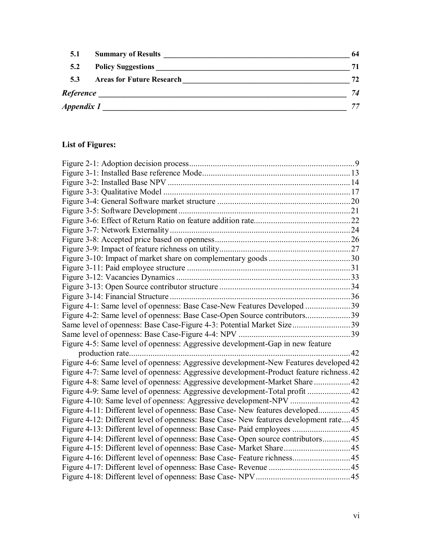| 5.1        | <b>Summary of Results</b>        | 64 |
|------------|----------------------------------|----|
| 5.2        | <b>Policy Suggestions</b>        | 71 |
| 5.3        | <b>Areas for Future Research</b> | 72 |
| Reference  |                                  | 74 |
| Appendix 1 |                                  | 77 |

# **List of Figures:**

| Figure 4-1: Same level of openness: Base Case-New Features Developed 39                 |    |
|-----------------------------------------------------------------------------------------|----|
|                                                                                         |    |
| Same level of openness: Base Case-Figure 4-3: Potential Market Size39                   |    |
|                                                                                         |    |
| Figure 4-5: Same level of openness: Aggressive development-Gap in new feature           |    |
|                                                                                         | 42 |
| Figure 4-6: Same level of openness: Aggressive development-New Features developed 42    |    |
| Figure 4-7: Same level of openness: Aggressive development-Product feature richness. 42 |    |
| Figure 4-8: Same level of openness: Aggressive development-Market Share  42             |    |
| Figure 4-9: Same level of openness: Aggressive development-Total profit 42              |    |
|                                                                                         |    |
| Figure 4-11: Different level of openness: Base Case- New features developed 45          |    |
| Figure 4-12: Different level of openness: Base Case-New features development rate45     |    |
| Figure 4-13: Different level of openness: Base Case- Paid employees  45                 |    |
| Figure 4-14: Different level of openness: Base Case-Open source contributors45          |    |
|                                                                                         |    |
|                                                                                         |    |
|                                                                                         |    |
|                                                                                         |    |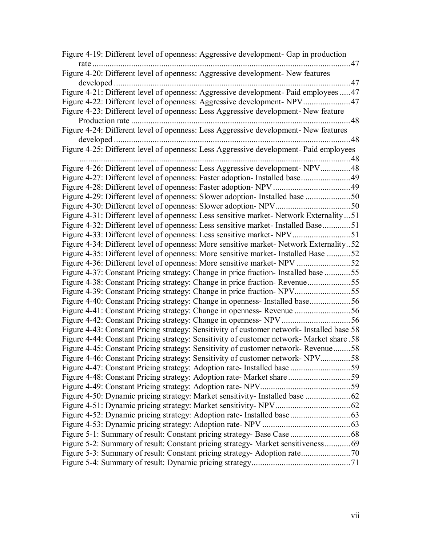| Figure 4-19: Different level of openness: Aggressive development- Gap in production<br>. 47 |      |
|---------------------------------------------------------------------------------------------|------|
| Figure 4-20: Different level of openness: Aggressive development- New features              |      |
|                                                                                             |      |
| Figure 4-21: Different level of openness: Aggressive development- Paid employees  47        |      |
| Figure 4-23: Different level of openness: Less Aggressive development- New feature          | . 48 |
| Figure 4-24: Different level of openness: Less Aggressive development- New features         |      |
|                                                                                             |      |
| Figure 4-25: Different level of openness: Less Aggressive development- Paid employees       |      |
|                                                                                             |      |
| Figure 4-26: Different level of openness: Less Aggressive development- NPV48                |      |
|                                                                                             |      |
|                                                                                             |      |
|                                                                                             |      |
|                                                                                             |      |
| Figure 4-31: Different level of openness: Less sensitive market- Network Externality  51    |      |
| Figure 4-32: Different level of openness: Less sensitive market- Installed Base51           |      |
| Figure 4-33: Different level of openness: Less sensitive market- NPV51                      |      |
| Figure 4-34: Different level of openness: More sensitive market- Network Externality52      |      |
| Figure 4-35: Different level of openness: More sensitive market- Installed Base 52          |      |
|                                                                                             |      |
| Figure 4-37: Constant Pricing strategy: Change in price fraction- Installed base 55         |      |
|                                                                                             |      |
|                                                                                             |      |
|                                                                                             |      |
|                                                                                             |      |
|                                                                                             |      |
| Figure 4-43: Constant Pricing strategy: Sensitivity of customer network- Installed base 58  |      |
| Figure 4-44: Constant Pricing strategy: Sensitivity of customer network- Market share .58   |      |
| Figure 4-45: Constant Pricing strategy: Sensitivity of customer network- Revenue58          |      |
| Figure 4-46: Constant Pricing strategy: Sensitivity of customer network- NPV58              |      |
|                                                                                             |      |
|                                                                                             |      |
|                                                                                             |      |
|                                                                                             |      |
|                                                                                             |      |
|                                                                                             |      |
|                                                                                             |      |
|                                                                                             |      |
| Figure 5-2: Summary of result: Constant pricing strategy- Market sensitiveness 69           |      |
|                                                                                             |      |
|                                                                                             |      |
|                                                                                             |      |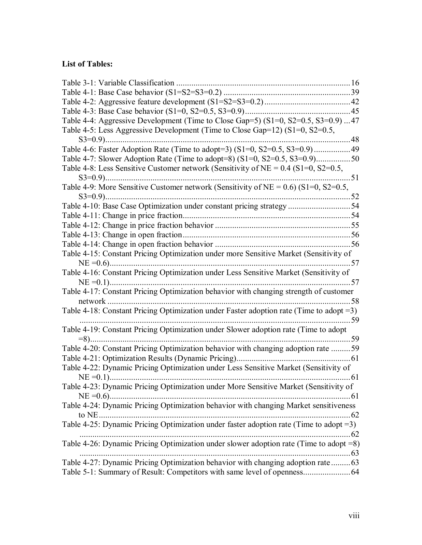# **List of Tables:**

| Table 4-4: Aggressive Development (Time to Close Gap=5) (S1=0, S2=0.5, S3=0.9) 47          |      |
|--------------------------------------------------------------------------------------------|------|
| Table 4-5: Less Aggressive Development (Time to Close Gap=12) (S1=0, S2=0.5,               |      |
| . 48                                                                                       |      |
|                                                                                            |      |
| Table 4-7: Slower Adoption Rate (Time to adopt=8) $(S1=0, S2=0.5, S3=0.9)$ 50              |      |
| Table 4-8: Less Sensitive Customer network (Sensitivity of NE = $0.4$ (S1=0, S2=0.5,       |      |
| $S3=0.9$ )                                                                                 |      |
| Table 4-9: More Sensitive Customer network (Sensitivity of NE = $0.6$ ) (S1=0, S2=0.5,     |      |
|                                                                                            |      |
| Table 4-10: Base Case Optimization under constant pricing strategy 54                      |      |
|                                                                                            |      |
|                                                                                            |      |
|                                                                                            |      |
|                                                                                            |      |
| Table 4-15: Constant Pricing Optimization under more Sensitive Market (Sensitivity of      |      |
|                                                                                            | . 57 |
| Table 4-16: Constant Pricing Optimization under Less Sensitive Market (Sensitivity of      |      |
|                                                                                            |      |
| Table 4-17: Constant Pricing Optimization behavior with changing strength of customer      |      |
|                                                                                            | . 58 |
| Table 4-18: Constant Pricing Optimization under Faster adoption rate (Time to adopt $=3$ ) |      |
|                                                                                            |      |
| Table 4-19: Constant Pricing Optimization under Slower adoption rate (Time to adopt        |      |
|                                                                                            |      |
| Table 4-20: Constant Pricing Optimization behavior with changing adoption rate 59          |      |
|                                                                                            |      |
| Table 4-22: Dynamic Pricing Optimization under Less Sensitive Market (Sensitivity of       |      |
| $NE = 0.1$                                                                                 |      |
| Table 4-23: Dynamic Pricing Optimization under More Sensitive Market (Sensitivity of       |      |
|                                                                                            |      |
| Table 4-24: Dynamic Pricing Optimization behavior with changing Market sensitiveness       |      |
| to NE                                                                                      | .62  |
| Table 4-25: Dynamic Pricing Optimization under faster adoption rate (Time to adopt $=3$ )  |      |
| $\ldots \ldots 62$                                                                         |      |
| Table 4-26: Dynamic Pricing Optimization under slower adoption rate (Time to adopt $=8$ )  |      |
|                                                                                            |      |
| Table 4-27: Dynamic Pricing Optimization behavior with changing adoption rate  63          |      |
|                                                                                            |      |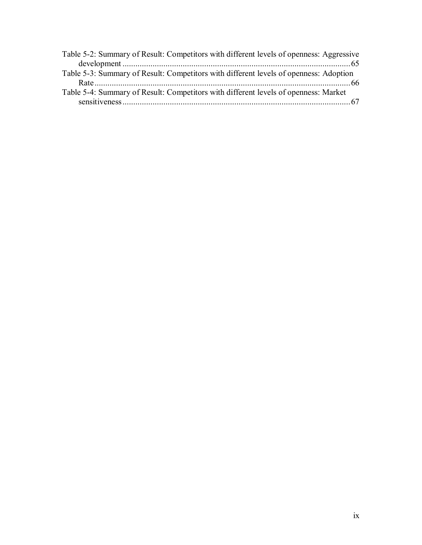| Table 5-2: Summary of Result: Competitors with different levels of openness: Aggressive |  |
|-----------------------------------------------------------------------------------------|--|
|                                                                                         |  |
| Table 5-3: Summary of Result: Competitors with different levels of openness: Adoption   |  |
|                                                                                         |  |
| Table 5-4: Summary of Result: Competitors with different levels of openness: Market     |  |
|                                                                                         |  |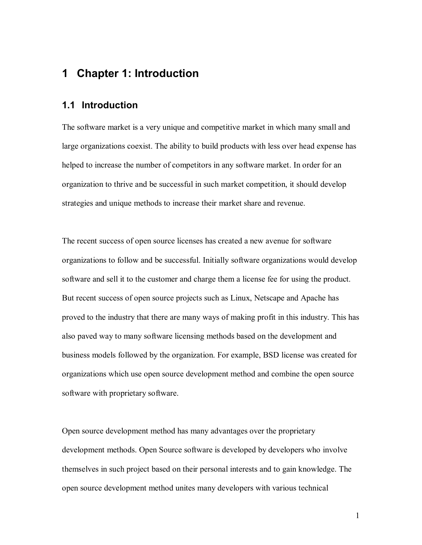# **1 Chapter 1: Introduction**

### **1.1 Introduction**

The software market is a very unique and competitive market in which many small and large organizations coexist. The ability to build products with less over head expense has helped to increase the number of competitors in any software market. In order for an organization to thrive and be successful in such market competition, it should develop strategies and unique methods to increase their market share and revenue.

The recent success of open source licenses has created a new avenue for software organizations to follow and be successful. Initially software organizations would develop software and sell it to the customer and charge them a license fee for using the product. But recent success of open source projects such as Linux, Netscape and Apache has proved to the industry that there are many ways of making profit in this industry. This has also paved way to many software licensing methods based on the development and business models followed by the organization. For example, BSD license was created for organizations which use open source development method and combine the open source software with proprietary software.

Open source development method has many advantages over the proprietary development methods. Open Source software is developed by developers who involve themselves in such project based on their personal interests and to gain knowledge. The open source development method unites many developers with various technical

1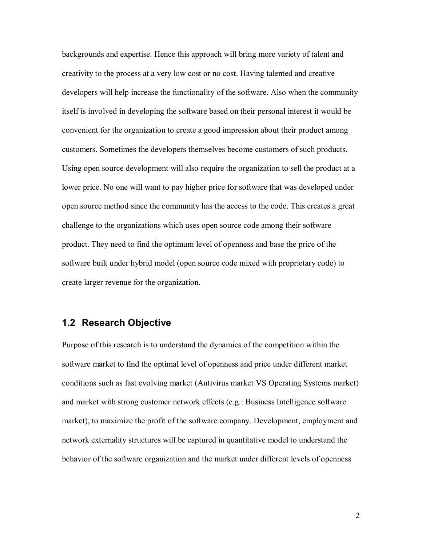backgrounds and expertise. Hence this approach will bring more variety of talent and creativity to the process at a very low cost or no cost. Having talented and creative developers will help increase the functionality of the software. Also when the community itself is involved in developing the software based on their personal interest it would be convenient for the organization to create a good impression about their product among customers. Sometimes the developers themselves become customers of such products. Using open source development will also require the organization to sell the product at a lower price. No one will want to pay higher price for software that was developed under open source method since the community has the access to the code. This creates a great challenge to the organizations which uses open source code among their software product. They need to find the optimum level of openness and base the price of the software built under hybrid model (open source code mixed with proprietary code) to create larger revenue for the organization.

## **1.2 Research Objective**

Purpose of this research is to understand the dynamics of the competition within the software market to find the optimal level of openness and price under different market conditions such as fast evolving market (Antivirus market VS Operating Systems market) and market with strong customer network effects (e.g.: Business Intelligence software market), to maximize the profit of the software company. Development, employment and network externality structures will be captured in quantitative model to understand the behavior of the software organization and the market under different levels of openness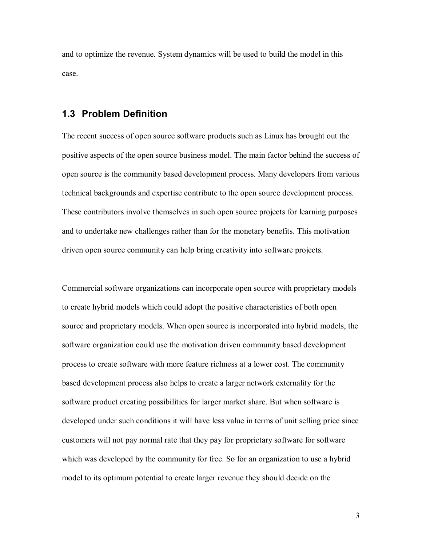and to optimize the revenue. System dynamics will be used to build the model in this case.

## **1.3 Problem Definition**

The recent success of open source software products such as Linux has brought out the positive aspects of the open source business model. The main factor behind the success of open source is the community based development process. Many developers from various technical backgrounds and expertise contribute to the open source development process. These contributors involve themselves in such open source projects for learning purposes and to undertake new challenges rather than for the monetary benefits. This motivation driven open source community can help bring creativity into software projects.

Commercial software organizations can incorporate open source with proprietary models to create hybrid models which could adopt the positive characteristics of both open source and proprietary models. When open source is incorporated into hybrid models, the software organization could use the motivation driven community based development process to create software with more feature richness at a lower cost. The community based development process also helps to create a larger network externality for the software product creating possibilities for larger market share. But when software is developed under such conditions it will have less value in terms of unit selling price since customers will not pay normal rate that they pay for proprietary software for software which was developed by the community for free. So for an organization to use a hybrid model to its optimum potential to create larger revenue they should decide on the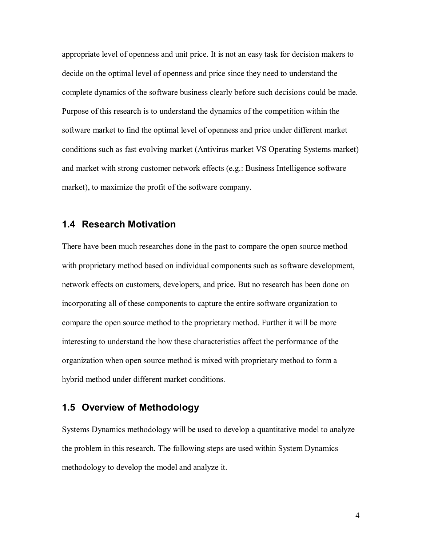appropriate level of openness and unit price. It is not an easy task for decision makers to decide on the optimal level of openness and price since they need to understand the complete dynamics of the software business clearly before such decisions could be made. Purpose of this research is to understand the dynamics of the competition within the software market to find the optimal level of openness and price under different market conditions such as fast evolving market (Antivirus market VS Operating Systems market) and market with strong customer network effects (e.g.: Business Intelligence software market), to maximize the profit of the software company.

## **1.4 Research Motivation**

There have been much researches done in the past to compare the open source method with proprietary method based on individual components such as software development, network effects on customers, developers, and price. But no research has been done on incorporating all of these components to capture the entire software organization to compare the open source method to the proprietary method. Further it will be more interesting to understand the how these characteristics affect the performance of the organization when open source method is mixed with proprietary method to form a hybrid method under different market conditions.

## **1.5 Overview of Methodology**

Systems Dynamics methodology will be used to develop a quantitative model to analyze the problem in this research. The following steps are used within System Dynamics methodology to develop the model and analyze it.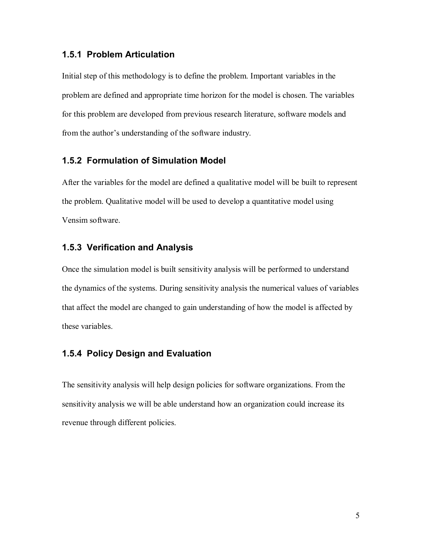#### **1.5.1 Problem Articulation**

Initial step of this methodology is to define the problem. Important variables in the problem are defined and appropriate time horizon for the model is chosen. The variables for this problem are developed from previous research literature, software models and from the author's understanding of the software industry.

### **1.5.2 Formulation of Simulation Model**

After the variables for the model are defined a qualitative model will be built to represent the problem. Qualitative model will be used to develop a quantitative model using Vensim software.

## **1.5.3 Verification and Analysis**

Once the simulation model is built sensitivity analysis will be performed to understand the dynamics of the systems. During sensitivity analysis the numerical values of variables that affect the model are changed to gain understanding of how the model is affected by these variables.

#### **1.5.4 Policy Design and Evaluation**

The sensitivity analysis will help design policies for software organizations. From the sensitivity analysis we will be able understand how an organization could increase its revenue through different policies.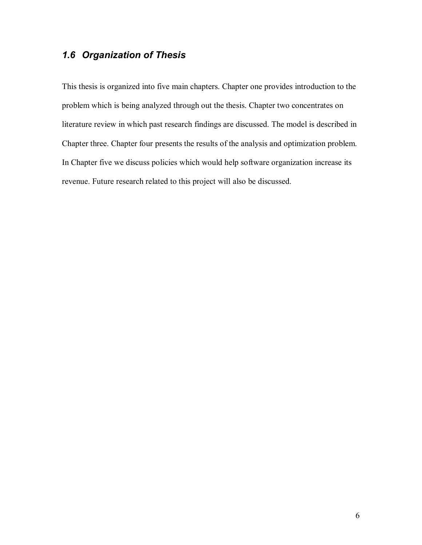# *1.6 Organization of Thesis*

This thesis is organized into five main chapters. Chapter one provides introduction to the problem which is being analyzed through out the thesis. Chapter two concentrates on literature review in which past research findings are discussed. The model is described in Chapter three. Chapter four presents the results of the analysis and optimization problem. In Chapter five we discuss policies which would help software organization increase its revenue. Future research related to this project will also be discussed.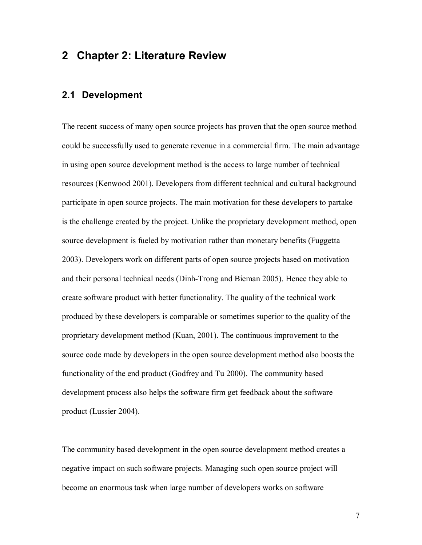# **2 Chapter 2: Literature Review**

## **2.1 Development**

The recent success of many open source projects has proven that the open source method could be successfully used to generate revenue in a commercial firm. The main advantage in using open source development method is the access to large number of technical resources (Kenwood 2001). Developers from different technical and cultural background participate in open source projects. The main motivation for these developers to partake is the challenge created by the project. Unlike the proprietary development method, open source development is fueled by motivation rather than monetary benefits (Fuggetta 2003). Developers work on different parts of open source projects based on motivation and their personal technical needs (Dinh-Trong and Bieman 2005). Hence they able to create software product with better functionality. The quality of the technical work produced by these developers is comparable or sometimes superior to the quality of the proprietary development method (Kuan, 2001). The continuous improvement to the source code made by developers in the open source development method also boosts the functionality of the end product (Godfrey and Tu 2000). The community based development process also helps the software firm get feedback about the software product (Lussier 2004).

The community based development in the open source development method creates a negative impact on such software projects. Managing such open source project will become an enormous task when large number of developers works on software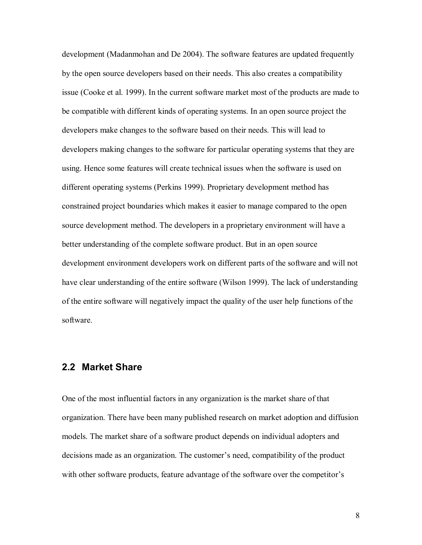development (Madanmohan and De 2004). The software features are updated frequently by the open source developers based on their needs. This also creates a compatibility issue (Cooke et al. 1999). In the current software market most of the products are made to be compatible with different kinds of operating systems. In an open source project the developers make changes to the software based on their needs. This will lead to developers making changes to the software for particular operating systems that they are using. Hence some features will create technical issues when the software is used on different operating systems (Perkins 1999). Proprietary development method has constrained project boundaries which makes it easier to manage compared to the open source development method. The developers in a proprietary environment will have a better understanding of the complete software product. But in an open source development environment developers work on different parts of the software and will not have clear understanding of the entire software (Wilson 1999). The lack of understanding of the entire software will negatively impact the quality of the user help functions of the software.

## **2.2 Market Share**

One of the most influential factors in any organization is the market share of that organization. There have been many published research on market adoption and diffusion models. The market share of a software product depends on individual adopters and decisions made as an organization. The customer's need, compatibility of the product with other software products, feature advantage of the software over the competitor's

8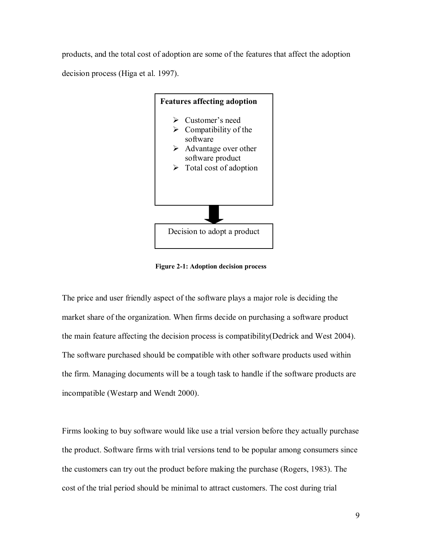products, and the total cost of adoption are some of the features that affect the adoption decision process (Higa et al. 1997).



**Figure 2-1: Adoption decision process** 

The price and user friendly aspect of the software plays a major role is deciding the market share of the organization. When firms decide on purchasing a software product the main feature affecting the decision process is compatibility(Dedrick and West 2004). The software purchased should be compatible with other software products used within the firm. Managing documents will be a tough task to handle if the software products are incompatible (Westarp and Wendt 2000).

Firms looking to buy software would like use a trial version before they actually purchase the product. Software firms with trial versions tend to be popular among consumers since the customers can try out the product before making the purchase (Rogers, 1983). The cost of the trial period should be minimal to attract customers. The cost during trial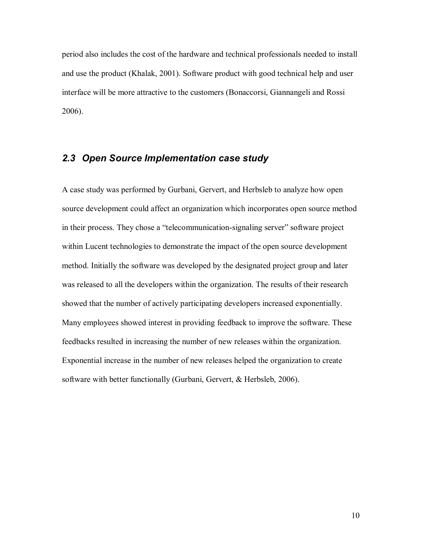period also includes the cost of the hardware and technical professionals needed to install and use the product (Khalak, 2001). Software product with good technical help and user interface will be more attractive to the customers (Bonaccorsi, Giannangeli and Rossi 2006).

## *2.3 Open Source Implementation case study*

A case study was performed by Gurbani, Gervert, and Herbsleb to analyze how open source development could affect an organization which incorporates open source method in their process. They chose a "telecommunication-signaling server" software project within Lucent technologies to demonstrate the impact of the open source development method. Initially the software was developed by the designated project group and later was released to all the developers within the organization. The results of their research showed that the number of actively participating developers increased exponentially. Many employees showed interest in providing feedback to improve the software. These feedbacks resulted in increasing the number of new releases within the organization. Exponential increase in the number of new releases helped the organization to create software with better functionally (Gurbani, Gervert, & Herbsleb, 2006).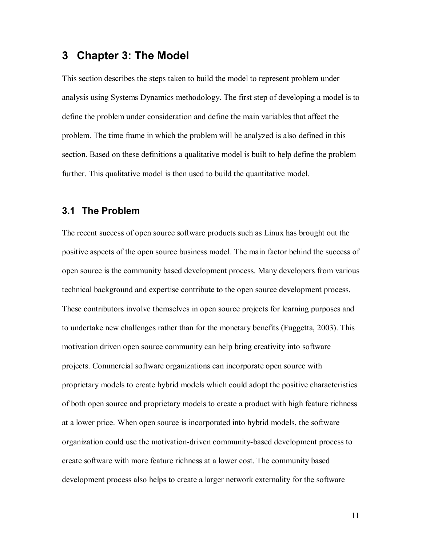# **3 Chapter 3: The Model**

This section describes the steps taken to build the model to represent problem under analysis using Systems Dynamics methodology. The first step of developing a model is to define the problem under consideration and define the main variables that affect the problem. The time frame in which the problem will be analyzed is also defined in this section. Based on these definitions a qualitative model is built to help define the problem further. This qualitative model is then used to build the quantitative model.

### **3.1 The Problem**

The recent success of open source software products such as Linux has brought out the positive aspects of the open source business model. The main factor behind the success of open source is the community based development process. Many developers from various technical background and expertise contribute to the open source development process. These contributors involve themselves in open source projects for learning purposes and to undertake new challenges rather than for the monetary benefits (Fuggetta, 2003). This motivation driven open source community can help bring creativity into software projects. Commercial software organizations can incorporate open source with proprietary models to create hybrid models which could adopt the positive characteristics of both open source and proprietary models to create a product with high feature richness at a lower price. When open source is incorporated into hybrid models, the software organization could use the motivation-driven community-based development process to create software with more feature richness at a lower cost. The community based development process also helps to create a larger network externality for the software

11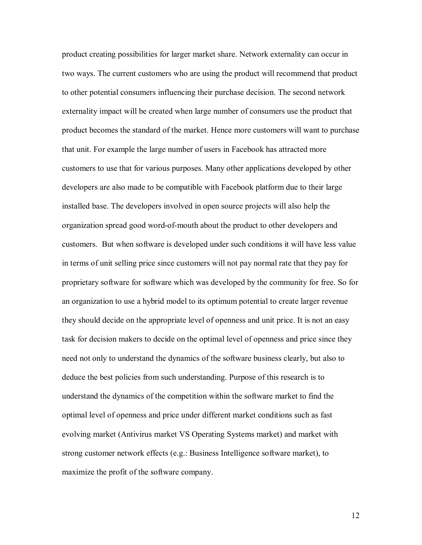product creating possibilities for larger market share. Network externality can occur in two ways. The current customers who are using the product will recommend that product to other potential consumers influencing their purchase decision. The second network externality impact will be created when large number of consumers use the product that product becomes the standard of the market. Hence more customers will want to purchase that unit. For example the large number of users in Facebook has attracted more customers to use that for various purposes. Many other applications developed by other developers are also made to be compatible with Facebook platform due to their large installed base. The developers involved in open source projects will also help the organization spread good word-of-mouth about the product to other developers and customers. But when software is developed under such conditions it will have less value in terms of unit selling price since customers will not pay normal rate that they pay for proprietary software for software which was developed by the community for free. So for an organization to use a hybrid model to its optimum potential to create larger revenue they should decide on the appropriate level of openness and unit price. It is not an easy task for decision makers to decide on the optimal level of openness and price since they need not only to understand the dynamics of the software business clearly, but also to deduce the best policies from such understanding. Purpose of this research is to understand the dynamics of the competition within the software market to find the optimal level of openness and price under different market conditions such as fast evolving market (Antivirus market VS Operating Systems market) and market with strong customer network effects (e.g.: Business Intelligence software market), to maximize the profit of the software company.

12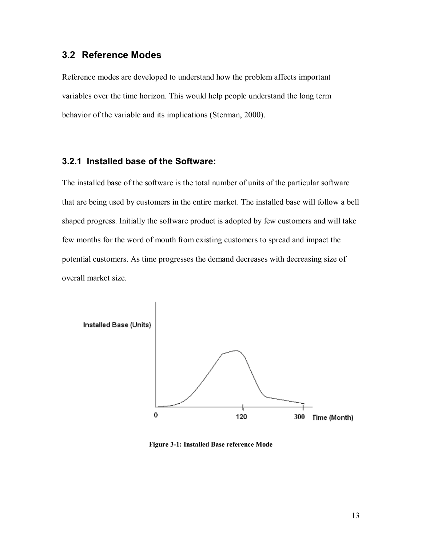## **3.2 Reference Modes**

Reference modes are developed to understand how the problem affects important variables over the time horizon. This would help people understand the long term behavior of the variable and its implications (Sterman, 2000).

#### **3.2.1 Installed base of the Software:**

The installed base of the software is the total number of units of the particular software that are being used by customers in the entire market. The installed base will follow a bell shaped progress. Initially the software product is adopted by few customers and will take few months for the word of mouth from existing customers to spread and impact the potential customers. As time progresses the demand decreases with decreasing size of overall market size.



**Figure 3-1: Installed Base reference Mode**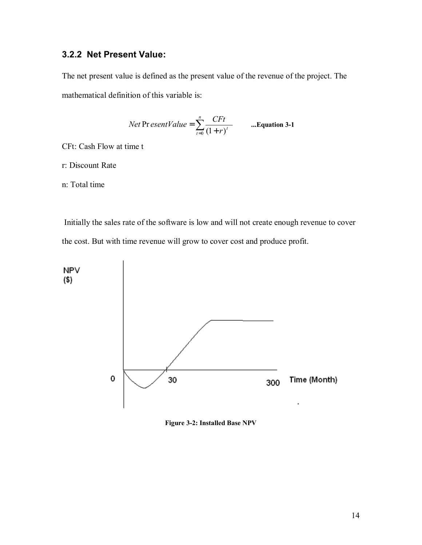# **3.2.2 Net Present Value:**

The net present value is defined as the present value of the revenue of the project. The mathematical definition of this variable is:

*Net* Pr *esentValue* = 
$$
\sum_{t=0}^{n} \frac{CFt}{(1+r)^{t}}
$$
 ...**Equation 3-1**

CFt: Cash Flow at time t

r: Discount Rate

n: Total time

 Initially the sales rate of the software is low and will not create enough revenue to cover the cost. But with time revenue will grow to cover cost and produce profit.



**Figure 3-2: Installed Base NPV**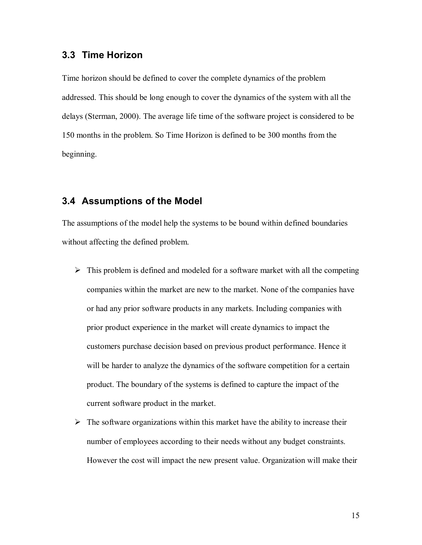# **3.3 Time Horizon**

Time horizon should be defined to cover the complete dynamics of the problem addressed. This should be long enough to cover the dynamics of the system with all the delays (Sterman, 2000). The average life time of the software project is considered to be 150 months in the problem. So Time Horizon is defined to be 300 months from the beginning.

## **3.4 Assumptions of the Model**

The assumptions of the model help the systems to be bound within defined boundaries without affecting the defined problem.

- $\triangleright$  This problem is defined and modeled for a software market with all the competing companies within the market are new to the market. None of the companies have or had any prior software products in any markets. Including companies with prior product experience in the market will create dynamics to impact the customers purchase decision based on previous product performance. Hence it will be harder to analyze the dynamics of the software competition for a certain product. The boundary of the systems is defined to capture the impact of the current software product in the market.
- $\triangleright$  The software organizations within this market have the ability to increase their number of employees according to their needs without any budget constraints. However the cost will impact the new present value. Organization will make their

15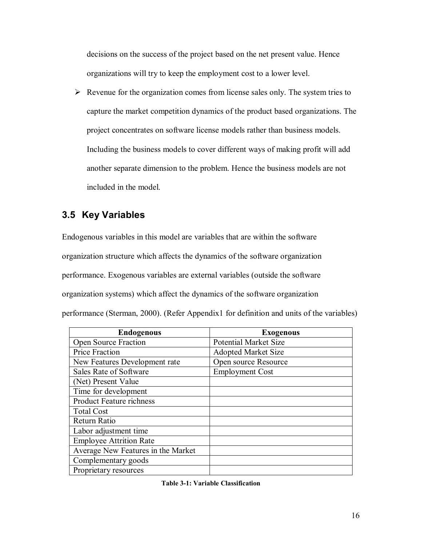decisions on the success of the project based on the net present value. Hence organizations will try to keep the employment cost to a lower level.

 $\triangleright$  Revenue for the organization comes from license sales only. The system tries to capture the market competition dynamics of the product based organizations. The project concentrates on software license models rather than business models. Including the business models to cover different ways of making profit will add another separate dimension to the problem. Hence the business models are not included in the model.

# **3.5 Key Variables**

Endogenous variables in this model are variables that are within the software organization structure which affects the dynamics of the software organization performance. Exogenous variables are external variables (outside the software organization systems) which affect the dynamics of the software organization performance (Sterman, 2000). (Refer Appendix1 for definition and units of the variables)

| <b>Endogenous</b>                  | <b>Exogenous</b>             |
|------------------------------------|------------------------------|
| <b>Open Source Fraction</b>        | <b>Potential Market Size</b> |
| Price Fraction                     | <b>Adopted Market Size</b>   |
| New Features Development rate      | Open source Resource         |
| Sales Rate of Software             | <b>Employment Cost</b>       |
| (Net) Present Value                |                              |
| Time for development               |                              |
| Product Feature richness           |                              |
| <b>Total Cost</b>                  |                              |
| Return Ratio                       |                              |
| Labor adjustment time              |                              |
| <b>Employee Attrition Rate</b>     |                              |
| Average New Features in the Market |                              |
| Complementary goods                |                              |
| Proprietary resources              |                              |

**Table 3-1: Variable Classification**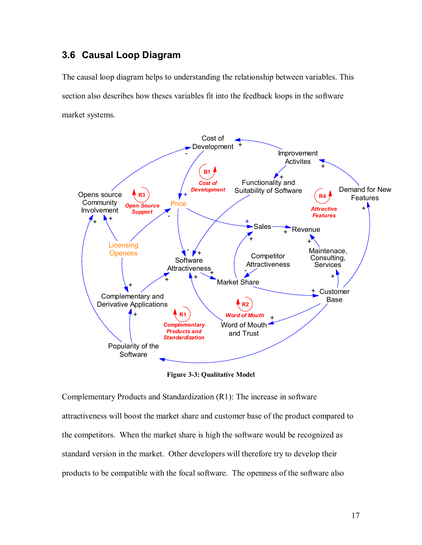# **3.6 Causal Loop Diagram**

The causal loop diagram helps to understanding the relationship between variables. This section also describes how theses variables fit into the feedback loops in the software market systems.



**Figure 3-3: Qualitative Model** 

Complementary Products and Standardization (R1): The increase in software attractiveness will boost the market share and customer base of the product compared to the competitors. When the market share is high the software would be recognized as standard version in the market. Other developers will therefore try to develop their products to be compatible with the focal software. The openness of the software also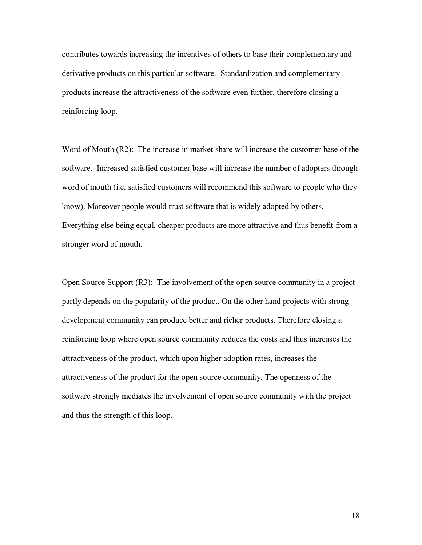contributes towards increasing the incentives of others to base their complementary and derivative products on this particular software. Standardization and complementary products increase the attractiveness of the software even further, therefore closing a reinforcing loop.

Word of Mouth (R2): The increase in market share will increase the customer base of the software. Increased satisfied customer base will increase the number of adopters through word of mouth (i.e. satisfied customers will recommend this software to people who they know). Moreover people would trust software that is widely adopted by others. Everything else being equal, cheaper products are more attractive and thus benefit from a stronger word of mouth.

Open Source Support (R3): The involvement of the open source community in a project partly depends on the popularity of the product. On the other hand projects with strong development community can produce better and richer products. Therefore closing a reinforcing loop where open source community reduces the costs and thus increases the attractiveness of the product, which upon higher adoption rates, increases the attractiveness of the product for the open source community. The openness of the software strongly mediates the involvement of open source community with the project and thus the strength of this loop.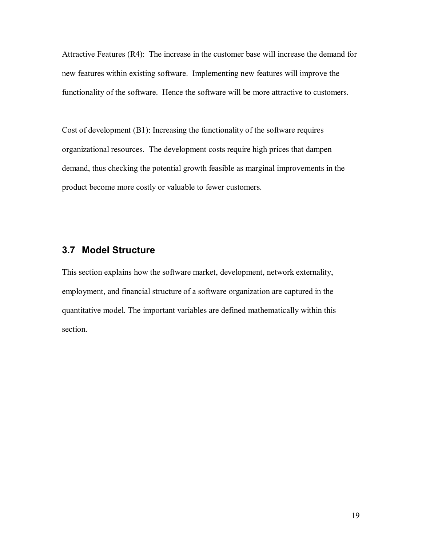Attractive Features (R4): The increase in the customer base will increase the demand for new features within existing software. Implementing new features will improve the functionality of the software. Hence the software will be more attractive to customers.

Cost of development (B1): Increasing the functionality of the software requires organizational resources. The development costs require high prices that dampen demand, thus checking the potential growth feasible as marginal improvements in the product become more costly or valuable to fewer customers.

## **3.7 Model Structure**

This section explains how the software market, development, network externality, employment, and financial structure of a software organization are captured in the quantitative model. The important variables are defined mathematically within this section.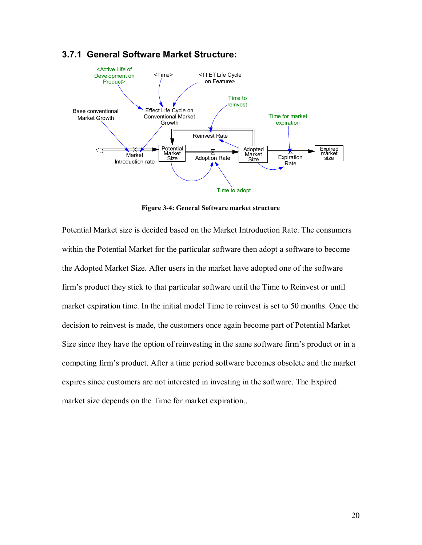

# **3.7.1 General Software Market Structure:**

**Figure 3-4: General Software market structure** 

Potential Market size is decided based on the Market Introduction Rate. The consumers within the Potential Market for the particular software then adopt a software to become the Adopted Market Size. After users in the market have adopted one of the software firm's product they stick to that particular software until the Time to Reinvest or until market expiration time. In the initial model Time to reinvest is set to 50 months. Once the decision to reinvest is made, the customers once again become part of Potential Market Size since they have the option of reinvesting in the same software firm's product or in a competing firmís product. After a time period software becomes obsolete and the market expires since customers are not interested in investing in the software. The Expired market size depends on the Time for market expiration..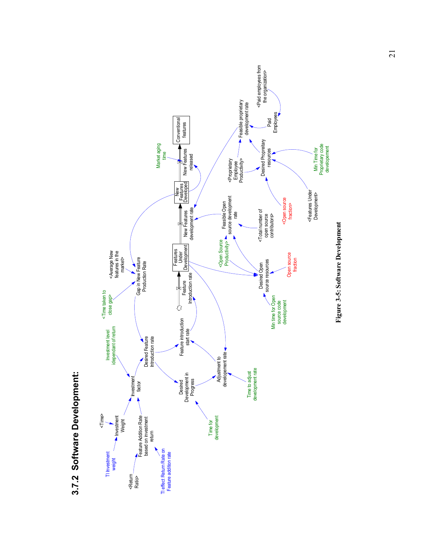

**3.7.2 Software Development:**  3.7.2 Software Development: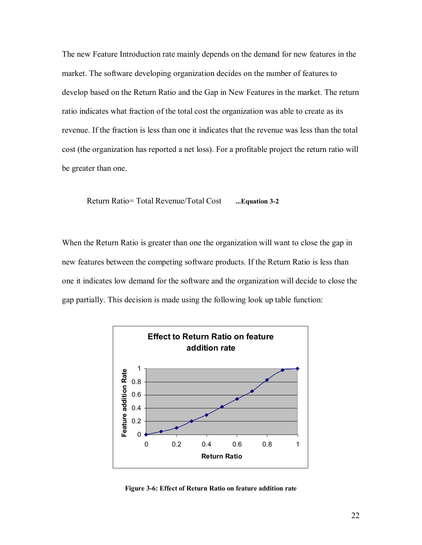The new Feature Introduction rate mainly depends on the demand for new features in the market. The software developing organization decides on the number of features to develop based on the Return Ratio and the Gap in New Features in the market. The return ratio indicates what fraction of the total cost the organization was able to create as its revenue. If the fraction is less than one it indicates that the revenue was less than the total cost (the organization has reported a net loss). For a profitable project the return ratio will be greater than one.

Return Ratio= Total Revenue/Total Cost **...Equation 3-2**

When the Return Ratio is greater than one the organization will want to close the gap in new features between the competing software products. If the Return Ratio is less than one it indicates low demand for the software and the organization will decide to close the gap partially. This decision is made using the following look up table function:



**Figure 3-6: Effect of Return Ratio on feature addition rate**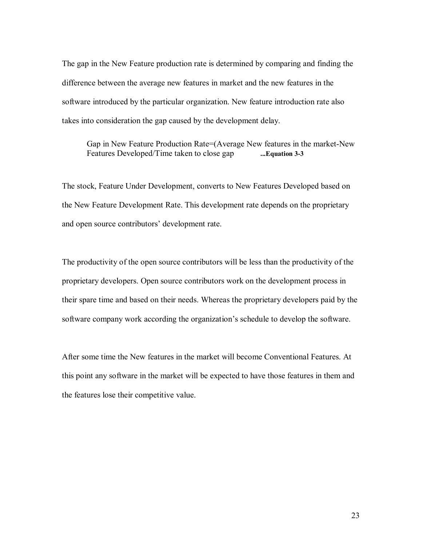The gap in the New Feature production rate is determined by comparing and finding the difference between the average new features in market and the new features in the software introduced by the particular organization. New feature introduction rate also takes into consideration the gap caused by the development delay.

Gap in New Feature Production Rate=(Average New features in the market-New Features Developed/Time taken to close gap **...Equation 3-3**

The stock, Feature Under Development, converts to New Features Developed based on the New Feature Development Rate. This development rate depends on the proprietary and open source contributors' development rate.

The productivity of the open source contributors will be less than the productivity of the proprietary developers. Open source contributors work on the development process in their spare time and based on their needs. Whereas the proprietary developers paid by the software company work according the organization's schedule to develop the software.

After some time the New features in the market will become Conventional Features. At this point any software in the market will be expected to have those features in them and the features lose their competitive value.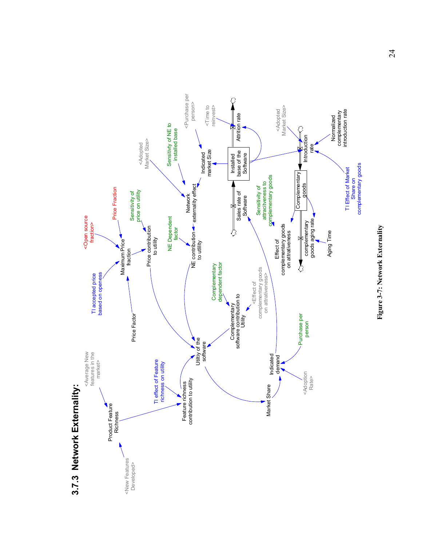

# Figure 3-7: Network Externality **Figure 3-7: Network Externality**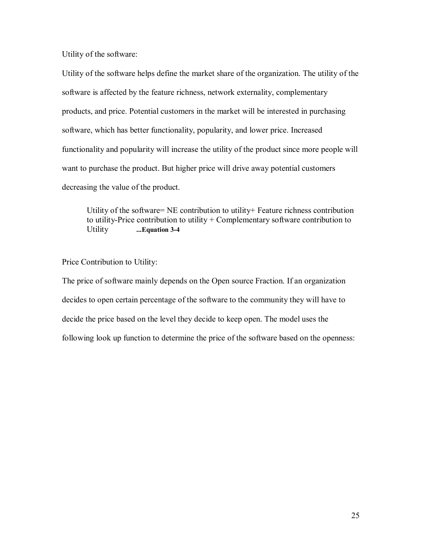Utility of the software:

Utility of the software helps define the market share of the organization. The utility of the software is affected by the feature richness, network externality, complementary products, and price. Potential customers in the market will be interested in purchasing software, which has better functionality, popularity, and lower price. Increased functionality and popularity will increase the utility of the product since more people will want to purchase the product. But higher price will drive away potential customers decreasing the value of the product.

Utility of the software= NE contribution to utility+ Feature richness contribution to utility-Price contribution to utility + Complementary software contribution to Utility **...Equation 3-4** 

Price Contribution to Utility:

The price of software mainly depends on the Open source Fraction. If an organization decides to open certain percentage of the software to the community they will have to decide the price based on the level they decide to keep open. The model uses the following look up function to determine the price of the software based on the openness: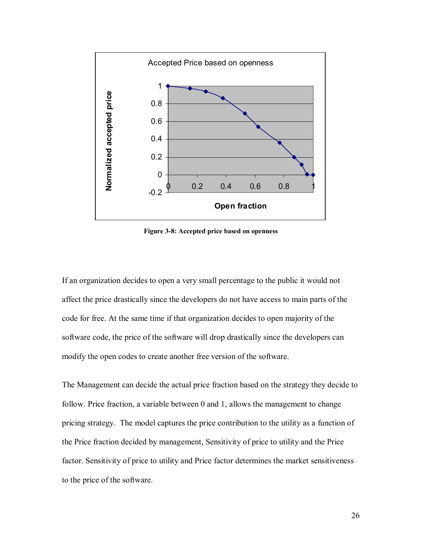

**Figure 3-8: Accepted price based on openness** 

If an organization decides to open a very small percentage to the public it would not affect the price drastically since the developers do not have access to main parts of the code for free. At the same time if that organization decides to open majority of the software code, the price of the software will drop drastically since the developers can modify the open codes to create another free version of the software.

The Management can decide the actual price fraction based on the strategy they decide to follow. Price fraction, a variable between 0 and 1, allows the management to change pricing strategy. The model captures the price contribution to the utility as a function of the Price fraction decided by management, Sensitivity of price to utility and the Price factor. Sensitivity of price to utility and Price factor determines the market sensitiveness to the price of the software.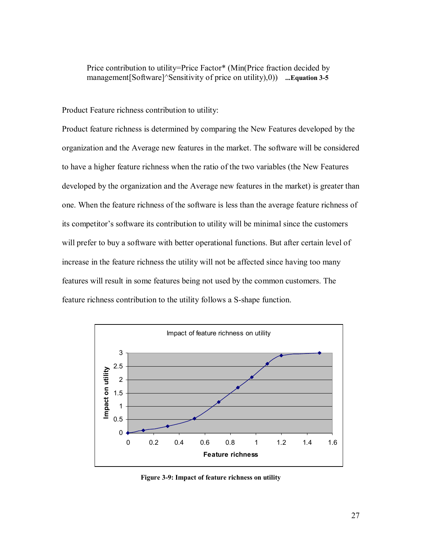Price contribution to utility=Price Factor\* (Min(Price fraction decided by management[Software]^Sensitivity of price on utility),0)) ...Equation 3-5

Product Feature richness contribution to utility:

Product feature richness is determined by comparing the New Features developed by the organization and the Average new features in the market. The software will be considered to have a higher feature richness when the ratio of the two variables (the New Features developed by the organization and the Average new features in the market) is greater than one. When the feature richness of the software is less than the average feature richness of its competitor's software its contribution to utility will be minimal since the customers will prefer to buy a software with better operational functions. But after certain level of increase in the feature richness the utility will not be affected since having too many features will result in some features being not used by the common customers. The feature richness contribution to the utility follows a S-shape function.



**Figure 3-9: Impact of feature richness on utility**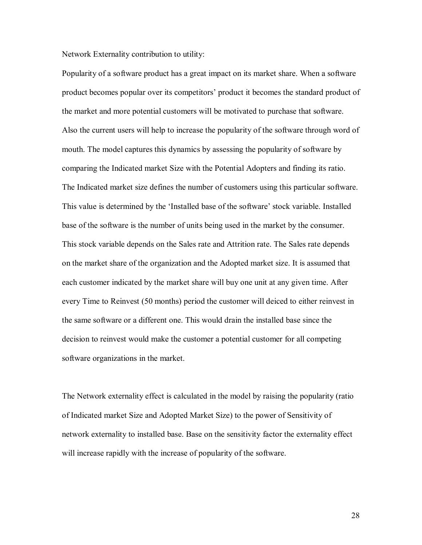Network Externality contribution to utility:

Popularity of a software product has a great impact on its market share. When a software product becomes popular over its competitors' product it becomes the standard product of the market and more potential customers will be motivated to purchase that software. Also the current users will help to increase the popularity of the software through word of mouth. The model captures this dynamics by assessing the popularity of software by comparing the Indicated market Size with the Potential Adopters and finding its ratio. The Indicated market size defines the number of customers using this particular software. This value is determined by the 'Installed base of the software' stock variable. Installed base of the software is the number of units being used in the market by the consumer. This stock variable depends on the Sales rate and Attrition rate. The Sales rate depends on the market share of the organization and the Adopted market size. It is assumed that each customer indicated by the market share will buy one unit at any given time. After every Time to Reinvest (50 months) period the customer will deiced to either reinvest in the same software or a different one. This would drain the installed base since the decision to reinvest would make the customer a potential customer for all competing software organizations in the market.

The Network externality effect is calculated in the model by raising the popularity (ratio of Indicated market Size and Adopted Market Size) to the power of Sensitivity of network externality to installed base. Base on the sensitivity factor the externality effect will increase rapidly with the increase of popularity of the software.

28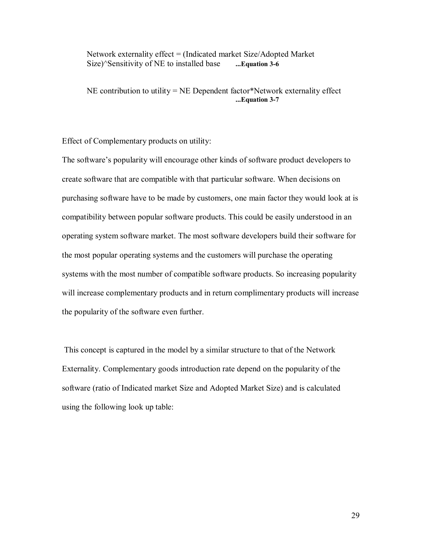Network externality effect = (Indicated market Size/Adopted Market Size)^Sensitivity of NE to installed base **...Equation 3-6**

NE contribution to utility = NE Dependent factor\*Network externality effect **...Equation 3-7**

Effect of Complementary products on utility:

The software's popularity will encourage other kinds of software product developers to create software that are compatible with that particular software. When decisions on purchasing software have to be made by customers, one main factor they would look at is compatibility between popular software products. This could be easily understood in an operating system software market. The most software developers build their software for the most popular operating systems and the customers will purchase the operating systems with the most number of compatible software products. So increasing popularity will increase complementary products and in return complimentary products will increase the popularity of the software even further.

 This concept is captured in the model by a similar structure to that of the Network Externality. Complementary goods introduction rate depend on the popularity of the software (ratio of Indicated market Size and Adopted Market Size) and is calculated using the following look up table: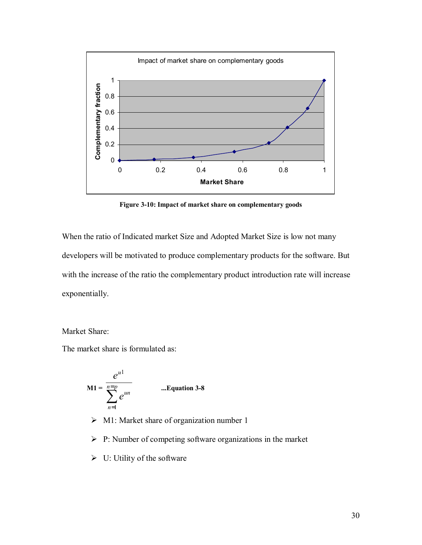

**Figure 3-10: Impact of market share on complementary goods** 

When the ratio of Indicated market Size and Adopted Market Size is low not many developers will be motivated to produce complementary products for the software. But with the increase of the ratio the complementary product introduction rate will increase exponentially.

Market Share:

The market share is formulated as:

$$
M1 = \frac{e^{u1}}{\sum_{n=1}^{n=p} e^{un}}
$$
 ...Equation 3-8

- $\triangleright$  M1: Market share of organization number 1
- $\triangleright$  P: Number of competing software organizations in the market
- $\triangleright$  U: Utility of the software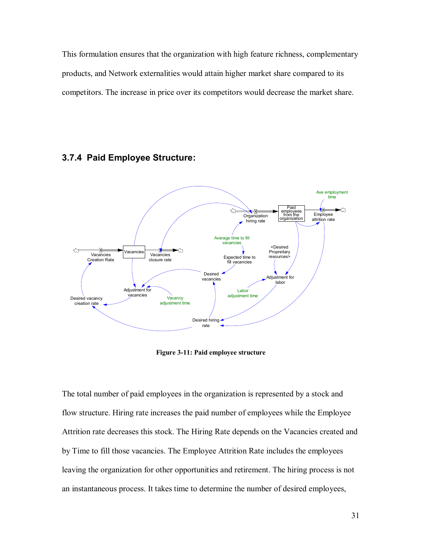This formulation ensures that the organization with high feature richness, complementary products, and Network externalities would attain higher market share compared to its competitors. The increase in price over its competitors would decrease the market share.

### **3.7.4 Paid Employee Structure:**



**Figure 3-11: Paid employee structure** 

The total number of paid employees in the organization is represented by a stock and flow structure. Hiring rate increases the paid number of employees while the Employee Attrition rate decreases this stock. The Hiring Rate depends on the Vacancies created and by Time to fill those vacancies. The Employee Attrition Rate includes the employees leaving the organization for other opportunities and retirement. The hiring process is not an instantaneous process. It takes time to determine the number of desired employees,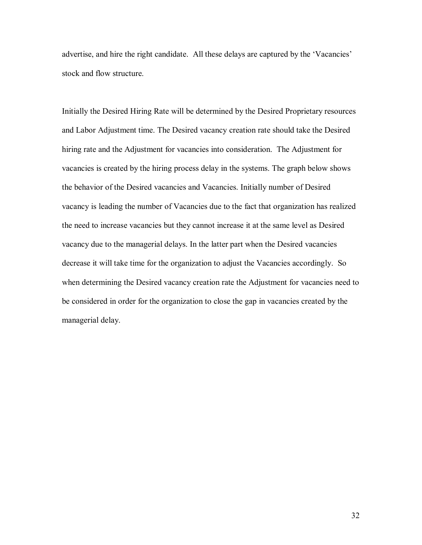advertise, and hire the right candidate. All these delays are captured by the 'Vacancies' stock and flow structure.

Initially the Desired Hiring Rate will be determined by the Desired Proprietary resources and Labor Adjustment time. The Desired vacancy creation rate should take the Desired hiring rate and the Adjustment for vacancies into consideration. The Adjustment for vacancies is created by the hiring process delay in the systems. The graph below shows the behavior of the Desired vacancies and Vacancies. Initially number of Desired vacancy is leading the number of Vacancies due to the fact that organization has realized the need to increase vacancies but they cannot increase it at the same level as Desired vacancy due to the managerial delays. In the latter part when the Desired vacancies decrease it will take time for the organization to adjust the Vacancies accordingly. So when determining the Desired vacancy creation rate the Adjustment for vacancies need to be considered in order for the organization to close the gap in vacancies created by the managerial delay.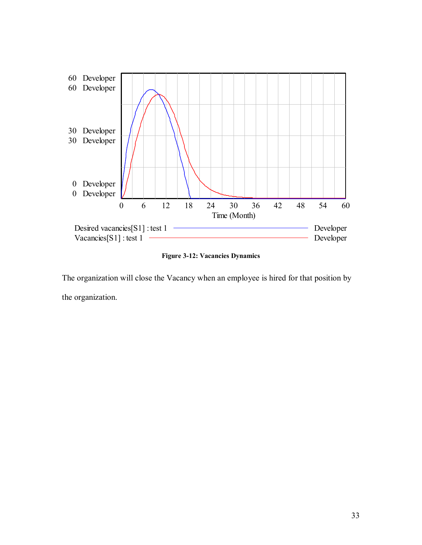

**Figure 3-12: Vacancies Dynamics** 

The organization will close the Vacancy when an employee is hired for that position by the organization.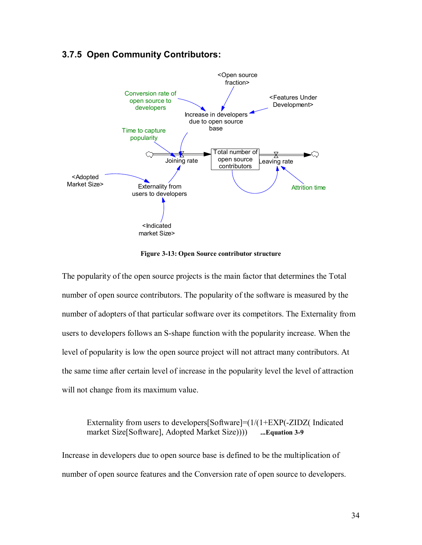# **3.7.5 Open Community Contributors:**



**Figure 3-13: Open Source contributor structure** 

The popularity of the open source projects is the main factor that determines the Total number of open source contributors. The popularity of the software is measured by the number of adopters of that particular software over its competitors. The Externality from users to developers follows an S-shape function with the popularity increase. When the level of popularity is low the open source project will not attract many contributors. At the same time after certain level of increase in the popularity level the level of attraction will not change from its maximum value.

Externality from users to developers[Software]=(1/(1+EXP(-ZIDZ( Indicated market Size[Software], Adopted Market Size)))) **...Equation 3-9**

Increase in developers due to open source base is defined to be the multiplication of number of open source features and the Conversion rate of open source to developers.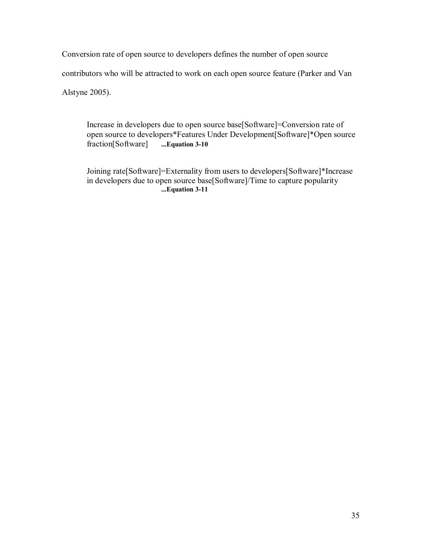Conversion rate of open source to developers defines the number of open source contributors who will be attracted to work on each open source feature (Parker and Van Alstyne 2005).

Increase in developers due to open source base[Software]=Conversion rate of open source to developers\*Features Under Development[Software]\*Open source fraction[Software] **...Equation 3-10**

Joining rate[Software]=Externality from users to developers[Software]\*Increase in developers due to open source base[Software]/Time to capture popularity **...Equation 3-11**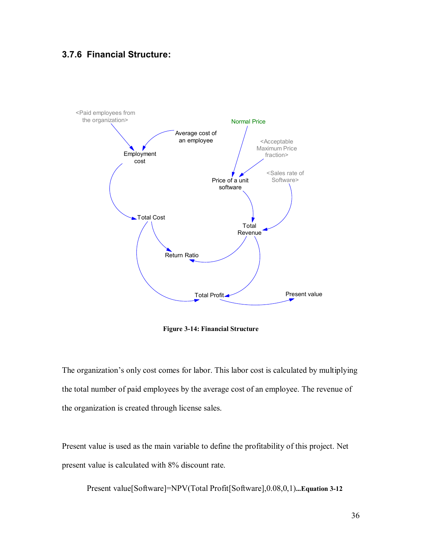## **3.7.6 Financial Structure:**



**Figure 3-14: Financial Structure** 

The organization's only cost comes for labor. This labor cost is calculated by multiplying the total number of paid employees by the average cost of an employee. The revenue of the organization is created through license sales.

Present value is used as the main variable to define the profitability of this project. Net present value is calculated with 8% discount rate.

Present value[Software]=NPV(Total Profit[Software],0.08,0,1)**...Equation 3-12**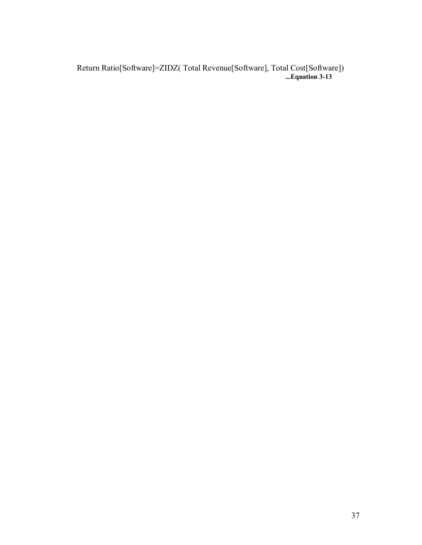Return Ratio[Software]=ZIDZ( Total Revenue[Software], Total Cost[Software]) **...Equation 3-13**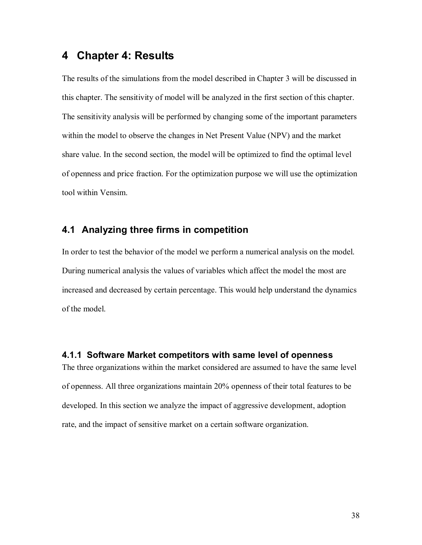# **4 Chapter 4: Results**

The results of the simulations from the model described in Chapter 3 will be discussed in this chapter. The sensitivity of model will be analyzed in the first section of this chapter. The sensitivity analysis will be performed by changing some of the important parameters within the model to observe the changes in Net Present Value (NPV) and the market share value. In the second section, the model will be optimized to find the optimal level of openness and price fraction. For the optimization purpose we will use the optimization tool within Vensim.

## **4.1 Analyzing three firms in competition**

In order to test the behavior of the model we perform a numerical analysis on the model. During numerical analysis the values of variables which affect the model the most are increased and decreased by certain percentage. This would help understand the dynamics of the model.

#### **4.1.1 Software Market competitors with same level of openness**

The three organizations within the market considered are assumed to have the same level of openness. All three organizations maintain 20% openness of their total features to be developed. In this section we analyze the impact of aggressive development, adoption rate, and the impact of sensitive market on a certain software organization.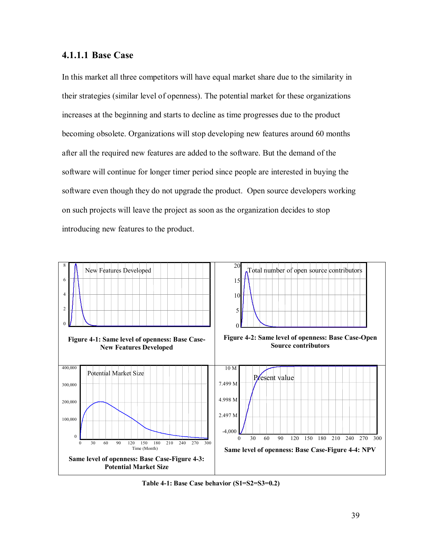### **4.1.1.1 Base Case**

In this market all three competitors will have equal market share due to the similarity in their strategies (similar level of openness). The potential market for these organizations increases at the beginning and starts to decline as time progresses due to the product becoming obsolete. Organizations will stop developing new features around 60 months after all the required new features are added to the software. But the demand of the software will continue for longer timer period since people are interested in buying the software even though they do not upgrade the product. Open source developers working on such projects will leave the project as soon as the organization decides to stop introducing new features to the product.



**Table 4-1: Base Case behavior (S1=S2=S3=0.2)**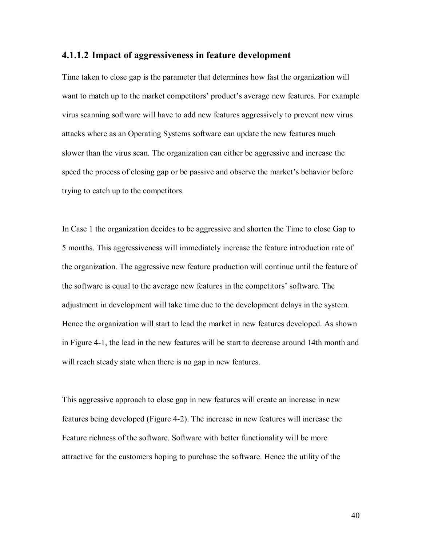#### **4.1.1.2 Impact of aggressiveness in feature development**

Time taken to close gap is the parameter that determines how fast the organization will want to match up to the market competitors' product's average new features. For example virus scanning software will have to add new features aggressively to prevent new virus attacks where as an Operating Systems software can update the new features much slower than the virus scan. The organization can either be aggressive and increase the speed the process of closing gap or be passive and observe the market's behavior before trying to catch up to the competitors.

In Case 1 the organization decides to be aggressive and shorten the Time to close Gap to 5 months. This aggressiveness will immediately increase the feature introduction rate of the organization. The aggressive new feature production will continue until the feature of the software is equal to the average new features in the competitors' software. The adjustment in development will take time due to the development delays in the system. Hence the organization will start to lead the market in new features developed. As shown in Figure 4-1, the lead in the new features will be start to decrease around 14th month and will reach steady state when there is no gap in new features.

This aggressive approach to close gap in new features will create an increase in new features being developed (Figure 4-2). The increase in new features will increase the Feature richness of the software. Software with better functionality will be more attractive for the customers hoping to purchase the software. Hence the utility of the

40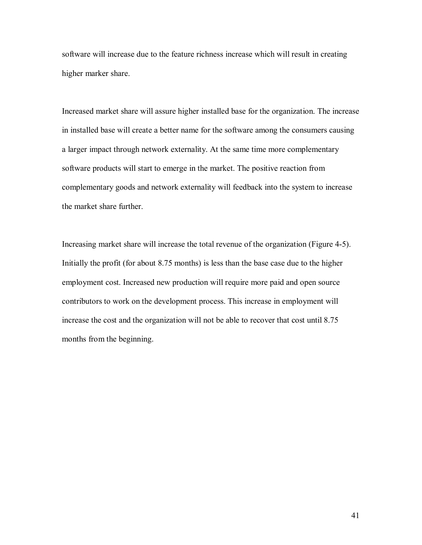software will increase due to the feature richness increase which will result in creating higher marker share.

Increased market share will assure higher installed base for the organization. The increase in installed base will create a better name for the software among the consumers causing a larger impact through network externality. At the same time more complementary software products will start to emerge in the market. The positive reaction from complementary goods and network externality will feedback into the system to increase the market share further.

Increasing market share will increase the total revenue of the organization (Figure 4-5). Initially the profit (for about 8.75 months) is less than the base case due to the higher employment cost. Increased new production will require more paid and open source contributors to work on the development process. This increase in employment will increase the cost and the organization will not be able to recover that cost until 8.75 months from the beginning.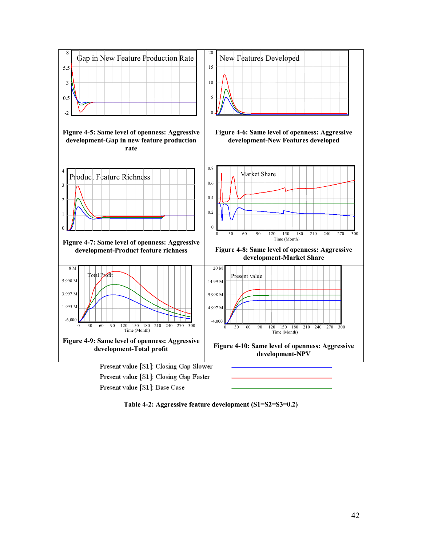

**Table 4-2: Aggressive feature development (S1=S2=S3=0.2)**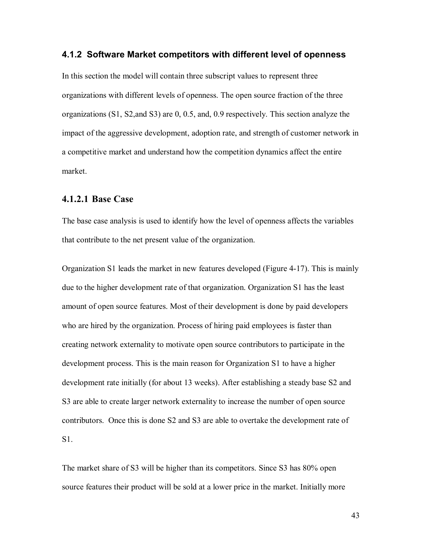#### **4.1.2 Software Market competitors with different level of openness**

In this section the model will contain three subscript values to represent three organizations with different levels of openness. The open source fraction of the three organizations (S1, S2,and S3) are 0, 0.5, and, 0.9 respectively. This section analyze the impact of the aggressive development, adoption rate, and strength of customer network in a competitive market and understand how the competition dynamics affect the entire market.

#### **4.1.2.1 Base Case**

The base case analysis is used to identify how the level of openness affects the variables that contribute to the net present value of the organization.

Organization S1 leads the market in new features developed (Figure 4-17). This is mainly due to the higher development rate of that organization. Organization S1 has the least amount of open source features. Most of their development is done by paid developers who are hired by the organization. Process of hiring paid employees is faster than creating network externality to motivate open source contributors to participate in the development process. This is the main reason for Organization S1 to have a higher development rate initially (for about 13 weeks). After establishing a steady base S2 and S3 are able to create larger network externality to increase the number of open source contributors. Once this is done S2 and S3 are able to overtake the development rate of S1.

The market share of S3 will be higher than its competitors. Since S3 has 80% open source features their product will be sold at a lower price in the market. Initially more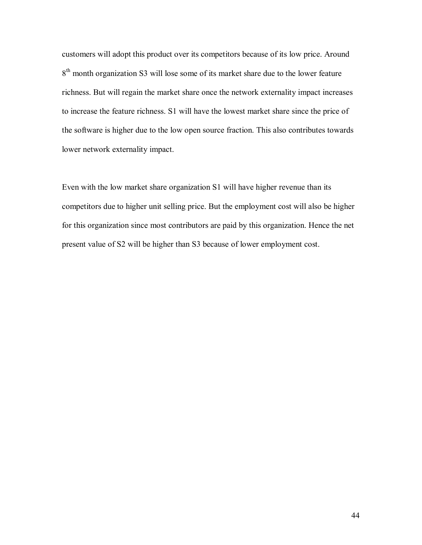customers will adopt this product over its competitors because of its low price. Around 8<sup>th</sup> month organization S3 will lose some of its market share due to the lower feature richness. But will regain the market share once the network externality impact increases to increase the feature richness. S1 will have the lowest market share since the price of the software is higher due to the low open source fraction. This also contributes towards lower network externality impact.

Even with the low market share organization S1 will have higher revenue than its competitors due to higher unit selling price. But the employment cost will also be higher for this organization since most contributors are paid by this organization. Hence the net present value of S2 will be higher than S3 because of lower employment cost.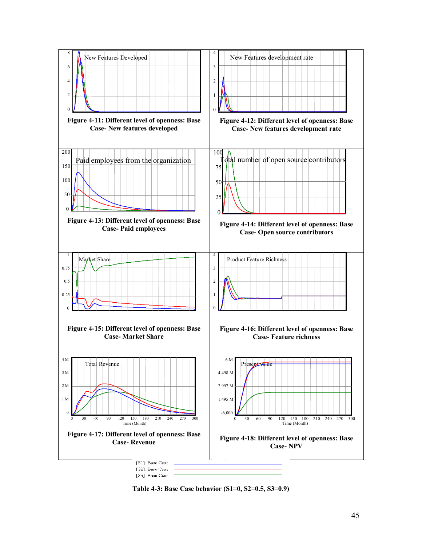

**Table 4-3: Base Case behavior (S1=0, S2=0.5, S3=0.9)**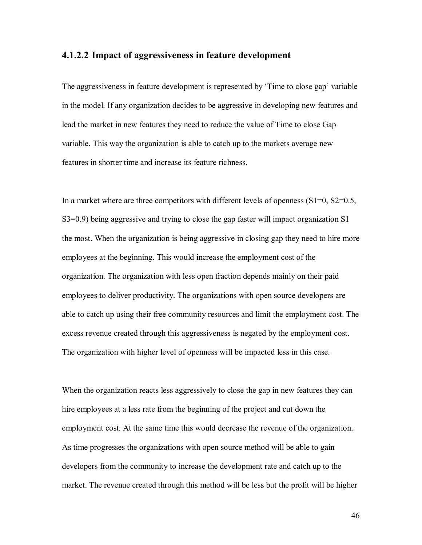#### **4.1.2.2 Impact of aggressiveness in feature development**

The aggressiveness in feature development is represented by 'Time to close gap' variable in the model. If any organization decides to be aggressive in developing new features and lead the market in new features they need to reduce the value of Time to close Gap variable. This way the organization is able to catch up to the markets average new features in shorter time and increase its feature richness.

In a market where are three competitors with different levels of openness  $(S1=0, S2=0.5,$ S3=0.9) being aggressive and trying to close the gap faster will impact organization S1 the most. When the organization is being aggressive in closing gap they need to hire more employees at the beginning. This would increase the employment cost of the organization. The organization with less open fraction depends mainly on their paid employees to deliver productivity. The organizations with open source developers are able to catch up using their free community resources and limit the employment cost. The excess revenue created through this aggressiveness is negated by the employment cost. The organization with higher level of openness will be impacted less in this case.

When the organization reacts less aggressively to close the gap in new features they can hire employees at a less rate from the beginning of the project and cut down the employment cost. At the same time this would decrease the revenue of the organization. As time progresses the organizations with open source method will be able to gain developers from the community to increase the development rate and catch up to the market. The revenue created through this method will be less but the profit will be higher

46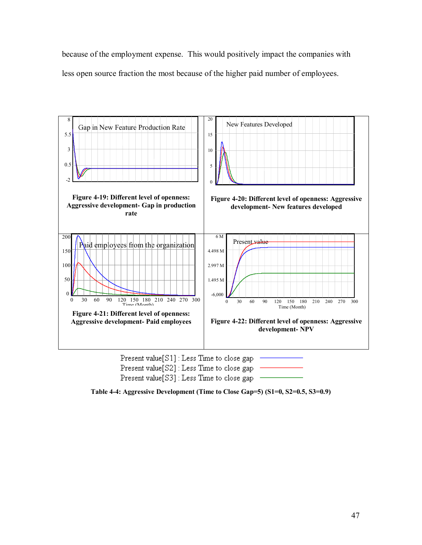because of the employment expense. This would positively impact the companies with less open source fraction the most because of the higher paid number of employees.





Present value[S3] : Less Time to close gap

**Table 4-4: Aggressive Development (Time to Close Gap=5) (S1=0, S2=0.5, S3=0.9)**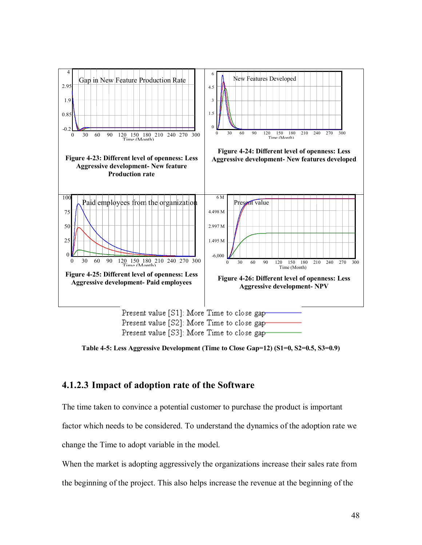

**Table 4-5: Less Aggressive Development (Time to Close Gap=12) (S1=0, S2=0.5, S3=0.9)** 

# **4.1.2.3 Impact of adoption rate of the Software**

The time taken to convince a potential customer to purchase the product is important

factor which needs to be considered. To understand the dynamics of the adoption rate we

change the Time to adopt variable in the model.

When the market is adopting aggressively the organizations increase their sales rate from

the beginning of the project. This also helps increase the revenue at the beginning of the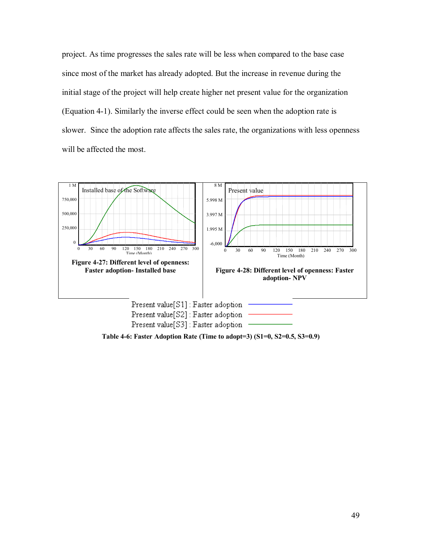project. As time progresses the sales rate will be less when compared to the base case since most of the market has already adopted. But the increase in revenue during the initial stage of the project will help create higher net present value for the organization (Equation 4-1). Similarly the inverse effect could be seen when the adoption rate is slower. Since the adoption rate affects the sales rate, the organizations with less openness will be affected the most.



**Table 4-6: Faster Adoption Rate (Time to adopt=3) (S1=0, S2=0.5, S3=0.9)**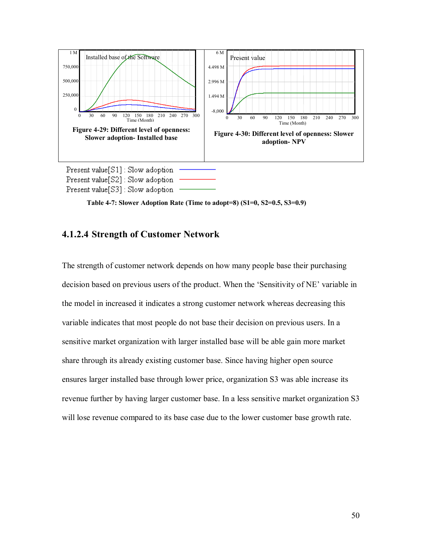

 **Table 4-7: Slower Adoption Rate (Time to adopt=8) (S1=0, S2=0.5, S3=0.9)** 

## **4.1.2.4 Strength of Customer Network**

The strength of customer network depends on how many people base their purchasing decision based on previous users of the product. When the 'Sensitivity of NE' variable in the model in increased it indicates a strong customer network whereas decreasing this variable indicates that most people do not base their decision on previous users. In a sensitive market organization with larger installed base will be able gain more market share through its already existing customer base. Since having higher open source ensures larger installed base through lower price, organization S3 was able increase its revenue further by having larger customer base. In a less sensitive market organization S3 will lose revenue compared to its base case due to the lower customer base growth rate.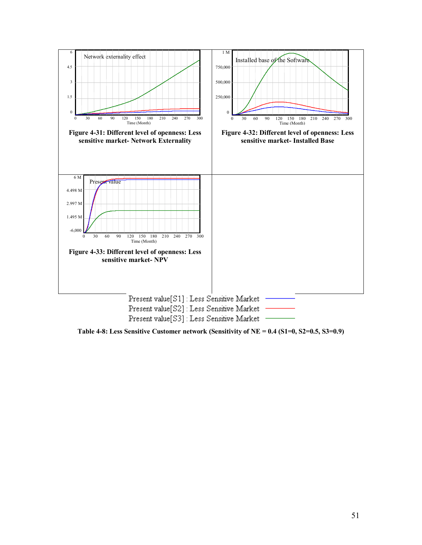

**Table 4-8: Less Sensitive Customer network (Sensitivity of NE = 0.4 (S1=0, S2=0.5, S3=0.9)**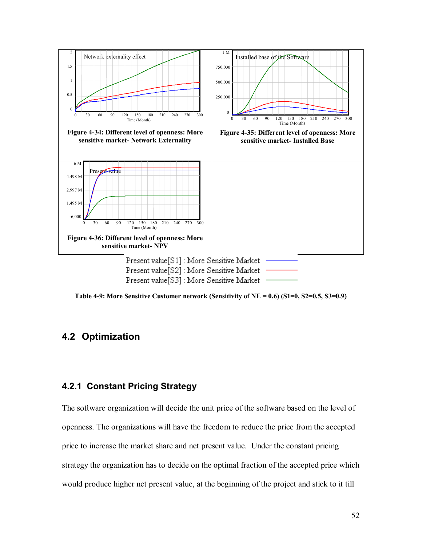

**Table 4-9: More Sensitive Customer network (Sensitivity of NE = 0.6) (S1=0, S2=0.5, S3=0.9)** 

## **4.2 Optimization**

### **4.2.1 Constant Pricing Strategy**

The software organization will decide the unit price of the software based on the level of openness. The organizations will have the freedom to reduce the price from the accepted price to increase the market share and net present value. Under the constant pricing strategy the organization has to decide on the optimal fraction of the accepted price which would produce higher net present value, at the beginning of the project and stick to it till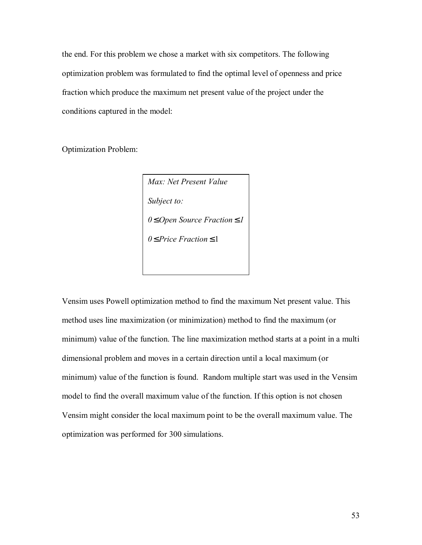the end. For this problem we chose a market with six competitors. The following optimization problem was formulated to find the optimal level of openness and price fraction which produce the maximum net present value of the project under the conditions captured in the model:

Optimization Problem:

*Max: Net Present Value Subject to: 0* ≤ *Open Source Fraction* ≤ *1 0* ≤*Price Fraction* ≤ 1

Vensim uses Powell optimization method to find the maximum Net present value. This method uses line maximization (or minimization) method to find the maximum (or minimum) value of the function. The line maximization method starts at a point in a multi dimensional problem and moves in a certain direction until a local maximum (or minimum) value of the function is found. Random multiple start was used in the Vensim model to find the overall maximum value of the function. If this option is not chosen Vensim might consider the local maximum point to be the overall maximum value. The optimization was performed for 300 simulations.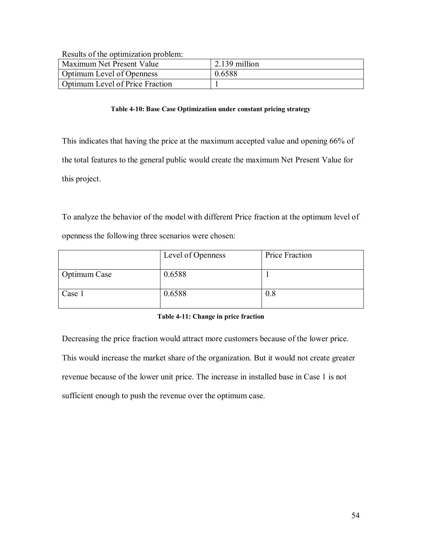Results of the optimization problem:

| TOOMING OF MID ORMIHILMMINII MIDOIVIII. |                 |
|-----------------------------------------|-----------------|
| Maximum Net Present Value               | $2.139$ million |
| <b>Optimum Level of Openness</b>        | 0.6588          |
| Optimum Level of Price Fraction         |                 |

#### **Table 4-10: Base Case Optimization under constant pricing strategy**

This indicates that having the price at the maximum accepted value and opening 66% of the total features to the general public would create the maximum Net Present Value for this project.

To analyze the behavior of the model with different Price fraction at the optimum level of openness the following three scenarios were chosen:

|              | Level of Openness | Price Fraction |
|--------------|-------------------|----------------|
| Optimum Case | 0.6588            |                |
| Case 1       | 0.6588            | 0.8            |

#### **Table 4-11: Change in price fraction**

Decreasing the price fraction would attract more customers because of the lower price. This would increase the market share of the organization. But it would not create greater revenue because of the lower unit price. The increase in installed base in Case 1 is not sufficient enough to push the revenue over the optimum case.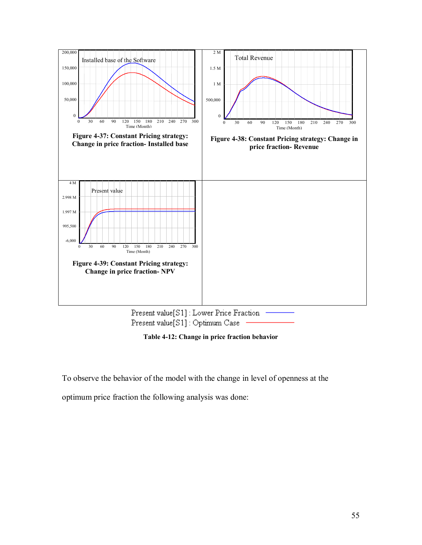

Present value[S1]: Optimum Case

**Table 4-12: Change in price fraction behavior** 

To observe the behavior of the model with the change in level of openness at the

optimum price fraction the following analysis was done: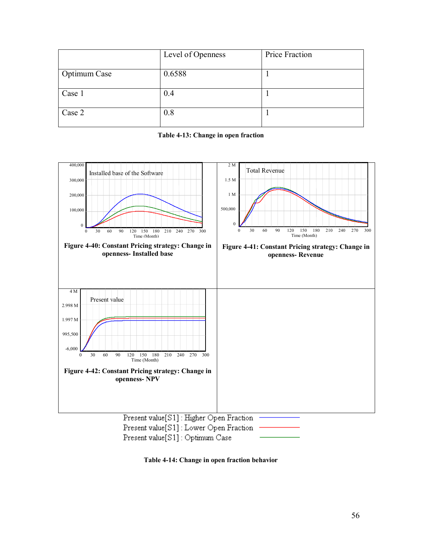|              | Level of Openness | Price Fraction |
|--------------|-------------------|----------------|
| Optimum Case | 0.6588            |                |
| Case 1       | 0.4               |                |
| Case 2       | 0.8               |                |

|  | Table 4-13: Change in open fraction |
|--|-------------------------------------|
|  |                                     |



**Table 4-14: Change in open fraction behavior**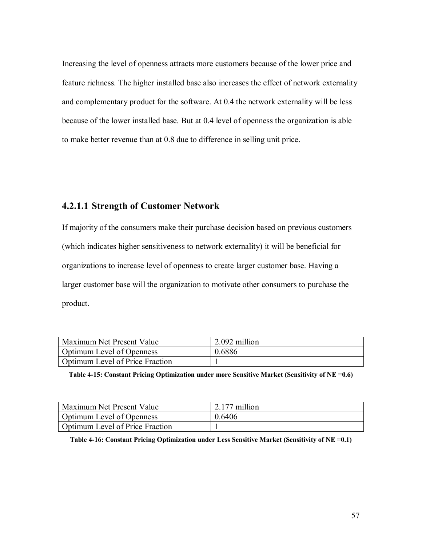Increasing the level of openness attracts more customers because of the lower price and feature richness. The higher installed base also increases the effect of network externality and complementary product for the software. At 0.4 the network externality will be less because of the lower installed base. But at 0.4 level of openness the organization is able to make better revenue than at 0.8 due to difference in selling unit price.

# **4.2.1.1 Strength of Customer Network**

If majority of the consumers make their purchase decision based on previous customers (which indicates higher sensitiveness to network externality) it will be beneficial for organizations to increase level of openness to create larger customer base. Having a larger customer base will the organization to motivate other consumers to purchase the product.

| Maximum Net Present Value        | 2.092 million |
|----------------------------------|---------------|
| <b>Optimum Level of Openness</b> | 0.6886        |
| Optimum Level of Price Fraction  |               |

|  |  | Table 4-15: Constant Pricing Optimization under more Sensitive Market (Sensitivity of NE =0.6) |
|--|--|------------------------------------------------------------------------------------------------|
|--|--|------------------------------------------------------------------------------------------------|

| Maximum Net Present Value        | $\frac{2.177}{2.100}$ 2.177 million |
|----------------------------------|-------------------------------------|
| <b>Optimum Level of Openness</b> | 0.6406                              |
| Optimum Level of Price Fraction  |                                     |

**Table 4-16: Constant Pricing Optimization under Less Sensitive Market (Sensitivity of NE =0.1)**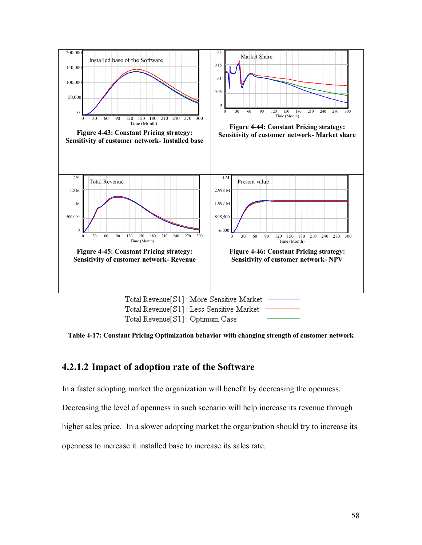

**Table 4-17: Constant Pricing Optimization behavior with changing strength of customer network** 

### **4.2.1.2 Impact of adoption rate of the Software**

In a faster adopting market the organization will benefit by decreasing the openness.

Decreasing the level of openness in such scenario will help increase its revenue through

higher sales price. In a slower adopting market the organization should try to increase its

openness to increase it installed base to increase its sales rate.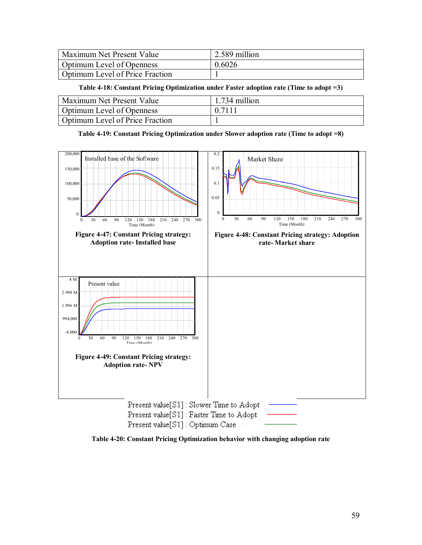| <b>Maximum Net Present Value</b> | $\frac{1}{2.589}$ million |
|----------------------------------|---------------------------|
| <b>Optimum Level of Openness</b> | 0.6026                    |
| Optimum Level of Price Fraction  |                           |

**Table 4-18: Constant Pricing Optimization under Faster adoption rate (Time to adopt =3)** 

| <b>Maximum Net Present Value</b>       | 1.734 million |
|----------------------------------------|---------------|
| <b>Optimum Level of Openness</b>       | 0.7111        |
| <b>Optimum Level of Price Fraction</b> |               |

**Table 4-19: Constant Pricing Optimization under Slower adoption rate (Time to adopt =8)** 



**Table 4-20: Constant Pricing Optimization behavior with changing adoption rate**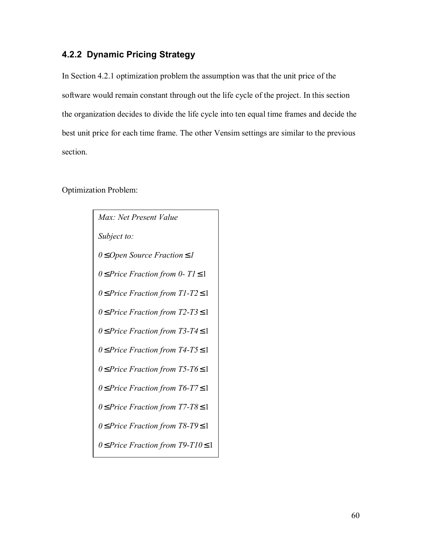# **4.2.2 Dynamic Pricing Strategy**

In Section 4.2.1 optimization problem the assumption was that the unit price of the software would remain constant through out the life cycle of the project. In this section the organization decides to divide the life cycle into ten equal time frames and decide the best unit price for each time frame. The other Vensim settings are similar to the previous section.

Optimization Problem:

| Max: Net Present Value                      |  |  |
|---------------------------------------------|--|--|
| Subject to:                                 |  |  |
| $0 \leq$ Open Source Fraction $\leq$ 1      |  |  |
| $0 \le$ Price Fraction from 0-T1 $\le$ 1    |  |  |
| $0 \le$ Price Fraction from T1-T2 $\le$ 1   |  |  |
| $0 \le$ Price Fraction from T2-T3 $\le$ 1   |  |  |
| $0 \leq$ Price Fraction from T3-T4 $\leq$ 1 |  |  |
| 0≤ Price Fraction from T4-T5 ≤ 1            |  |  |
| $0 \leq$ Price Fraction from T5-T6 $\leq$ 1 |  |  |
| $0 \leq$ Price Fraction from T6-T7 $\leq 1$ |  |  |
| $0 \leq$ Price Fraction from T7-T8 $\leq$ 1 |  |  |
| $0 \leq$ Price Fraction from T8-T9 $\leq$ 1 |  |  |
| $0 \le$ Price Fraction from T9-T10 $\le$ 1  |  |  |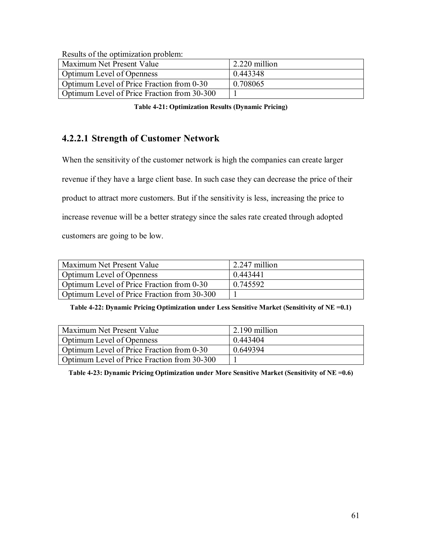Results of the optimization problem:

| Tropano of the optimization proclem.        |               |
|---------------------------------------------|---------------|
| Maximum Net Present Value                   | 2.220 million |
| <b>Optimum Level of Openness</b>            | 0.443348      |
| Optimum Level of Price Fraction from 0-30   | 0.708065      |
| Optimum Level of Price Fraction from 30-300 |               |

**Table 4-21: Optimization Results (Dynamic Pricing)** 

## **4.2.2.1 Strength of Customer Network**

When the sensitivity of the customer network is high the companies can create larger

revenue if they have a large client base. In such case they can decrease the price of their

product to attract more customers. But if the sensitivity is less, increasing the price to

increase revenue will be a better strategy since the sales rate created through adopted

customers are going to be low.

| Maximum Net Present Value                   | $\vert$ 2.247 million |
|---------------------------------------------|-----------------------|
| Optimum Level of Openness                   | 0.443441              |
| Optimum Level of Price Fraction from 0-30   | 0.745592              |
| Optimum Level of Price Fraction from 30-300 |                       |

**Table 4-22: Dynamic Pricing Optimization under Less Sensitive Market (Sensitivity of NE =0.1)** 

| Maximum Net Present Value                   | 2.190 million |
|---------------------------------------------|---------------|
| <b>Optimum Level of Openness</b>            | 0.443404      |
| Optimum Level of Price Fraction from 0-30   | 0.649394      |
| Optimum Level of Price Fraction from 30-300 |               |

**Table 4-23: Dynamic Pricing Optimization under More Sensitive Market (Sensitivity of NE =0.6)**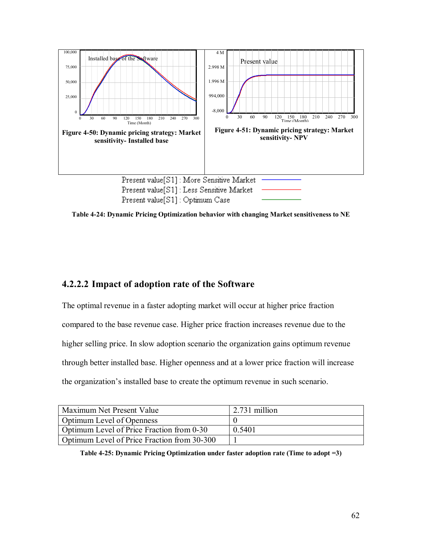

**Table 4-24: Dynamic Pricing Optimization behavior with changing Market sensitiveness to NE** 

# **4.2.2.2 Impact of adoption rate of the Software**

The optimal revenue in a faster adopting market will occur at higher price fraction compared to the base revenue case. Higher price fraction increases revenue due to the higher selling price. In slow adoption scenario the organization gains optimum revenue through better installed base. Higher openness and at a lower price fraction will increase the organization's installed base to create the optimum revenue in such scenario.

| Maximum Net Present Value                   | $\frac{1}{2}$ .731 million |
|---------------------------------------------|----------------------------|
| <b>Optimum Level of Openness</b>            |                            |
| Optimum Level of Price Fraction from 0-30   | 0.5401                     |
| Optimum Level of Price Fraction from 30-300 |                            |

**Table 4-25: Dynamic Pricing Optimization under faster adoption rate (Time to adopt =3)**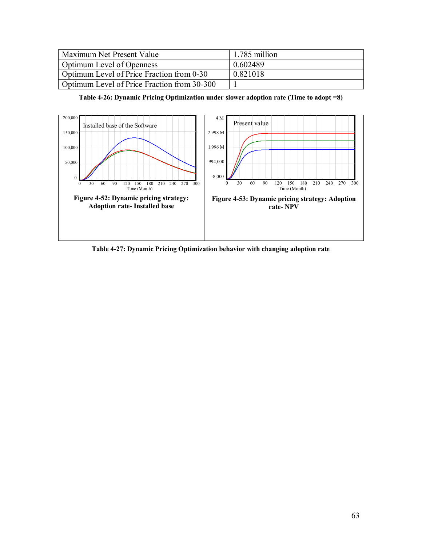| Maximum Net Present Value                   | $\vert$ 1.785 million |
|---------------------------------------------|-----------------------|
| <b>Optimum Level of Openness</b>            | 0.602489              |
| Optimum Level of Price Fraction from 0-30   | 0.821018              |
| Optimum Level of Price Fraction from 30-300 |                       |

**Table 4-26: Dynamic Pricing Optimization under slower adoption rate (Time to adopt =8)** 



**Table 4-27: Dynamic Pricing Optimization behavior with changing adoption rate**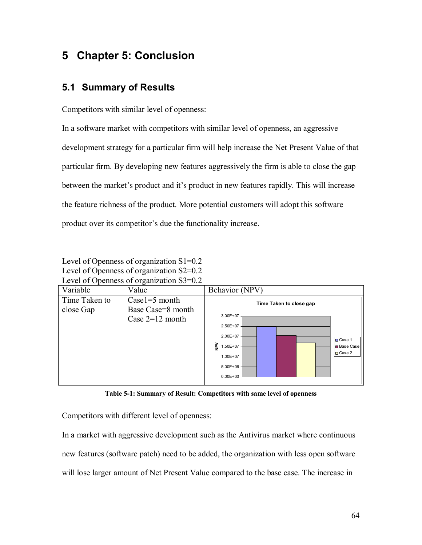## **5 Chapter 5: Conclusion**

## **5.1 Summary of Results**

Competitors with similar level of openness:

In a software market with competitors with similar level of openness, an aggressive development strategy for a particular firm will help increase the Net Present Value of that particular firm. By developing new features aggressively the firm is able to close the gap between the market's product and it's product in new features rapidly. This will increase the feature richness of the product. More potential customers will adopt this software product over its competitor's due the functionality increase.

Level of Openness of organization S1=0.2 Level of Openness of organization S2=0.2 Level of Openness of organization S3=0.2



**Table 5-1: Summary of Result: Competitors with same level of openness** 

Competitors with different level of openness:

In a market with aggressive development such as the Antivirus market where continuous new features (software patch) need to be added, the organization with less open software will lose larger amount of Net Present Value compared to the base case. The increase in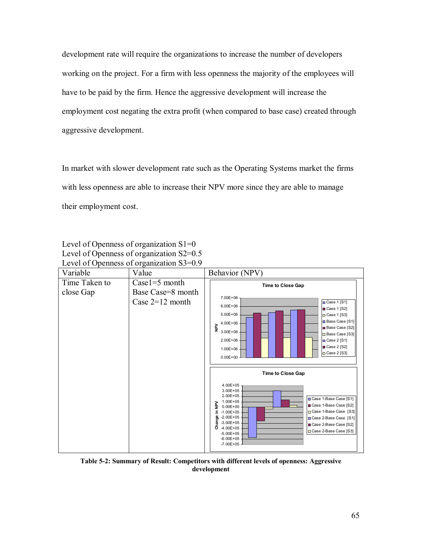development rate will require the organizations to increase the number of developers working on the project. For a firm with less openness the majority of the employees will have to be paid by the firm. Hence the aggressive development will increase the employment cost negating the extra profit (when compared to base case) created through aggressive development.

In market with slower development rate such as the Operating Systems market the firms with less openness are able to increase their NPV more since they are able to manage their employment cost.

Level of Openness of organization S1=0 Level of Openness of organization S2=0.5 Level of Openness of organization S3=0.9



**Table 5-2: Summary of Result: Competitors with different levels of openness: Aggressive development**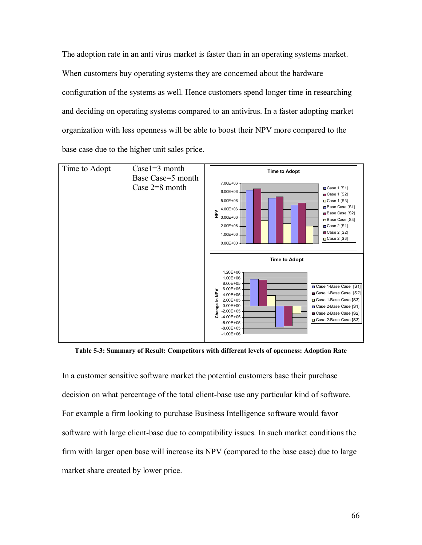The adoption rate in an anti virus market is faster than in an operating systems market. When customers buy operating systems they are concerned about the hardware configuration of the systems as well. Hence customers spend longer time in researching and deciding on operating systems compared to an antivirus. In a faster adopting market organization with less openness will be able to boost their NPV more compared to the base case due to the higher unit sales price.



**Table 5-3: Summary of Result: Competitors with different levels of openness: Adoption Rate** 

In a customer sensitive software market the potential customers base their purchase decision on what percentage of the total client-base use any particular kind of software. For example a firm looking to purchase Business Intelligence software would favor software with large client-base due to compatibility issues. In such market conditions the firm with larger open base will increase its NPV (compared to the base case) due to large market share created by lower price.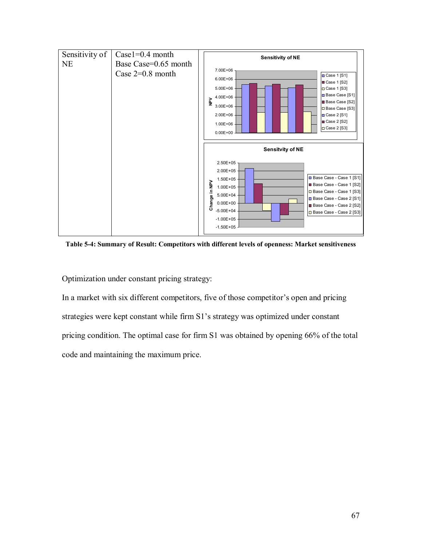

**Table 5-4: Summary of Result: Competitors with different levels of openness: Market sensitiveness** 

Optimization under constant pricing strategy:

In a market with six different competitors, five of those competitor's open and pricing strategies were kept constant while firm S1's strategy was optimized under constant pricing condition. The optimal case for firm S1 was obtained by opening 66% of the total code and maintaining the maximum price.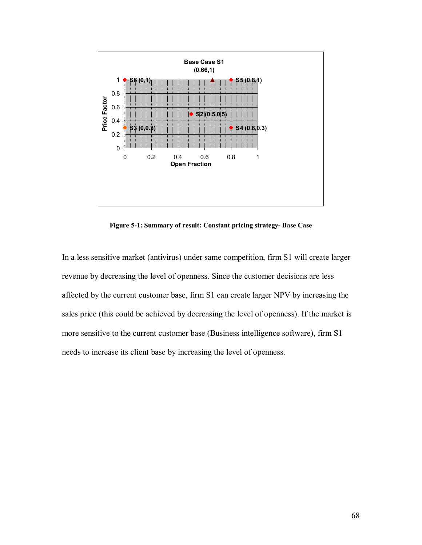

**Figure 5-1: Summary of result: Constant pricing strategy- Base Case** 

In a less sensitive market (antivirus) under same competition, firm S1 will create larger revenue by decreasing the level of openness. Since the customer decisions are less affected by the current customer base, firm S1 can create larger NPV by increasing the sales price (this could be achieved by decreasing the level of openness). If the market is more sensitive to the current customer base (Business intelligence software), firm S1 needs to increase its client base by increasing the level of openness.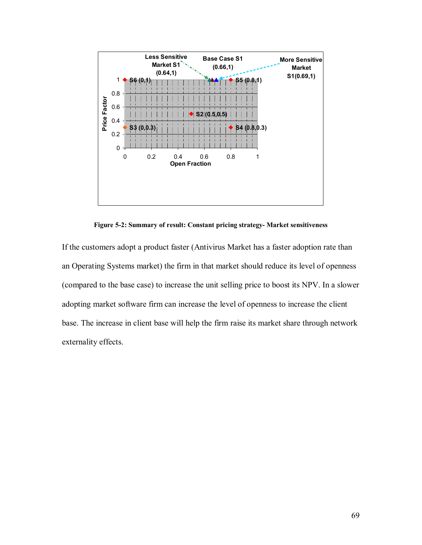

**Figure 5-2: Summary of result: Constant pricing strategy- Market sensitiveness** 

If the customers adopt a product faster (Antivirus Market has a faster adoption rate than an Operating Systems market) the firm in that market should reduce its level of openness (compared to the base case) to increase the unit selling price to boost its NPV. In a slower adopting market software firm can increase the level of openness to increase the client base. The increase in client base will help the firm raise its market share through network externality effects.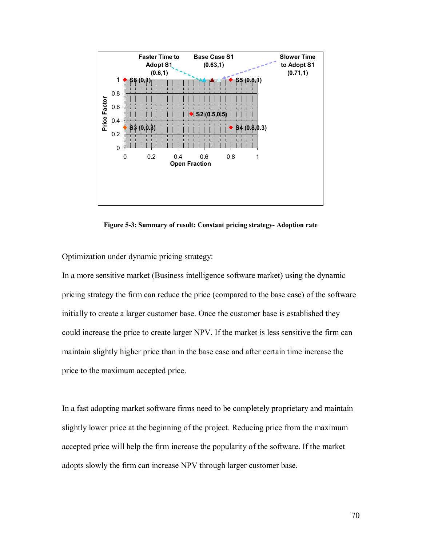

**Figure 5-3: Summary of result: Constant pricing strategy- Adoption rate** 

Optimization under dynamic pricing strategy:

In a more sensitive market (Business intelligence software market) using the dynamic pricing strategy the firm can reduce the price (compared to the base case) of the software initially to create a larger customer base. Once the customer base is established they could increase the price to create larger NPV. If the market is less sensitive the firm can maintain slightly higher price than in the base case and after certain time increase the price to the maximum accepted price.

In a fast adopting market software firms need to be completely proprietary and maintain slightly lower price at the beginning of the project. Reducing price from the maximum accepted price will help the firm increase the popularity of the software. If the market adopts slowly the firm can increase NPV through larger customer base.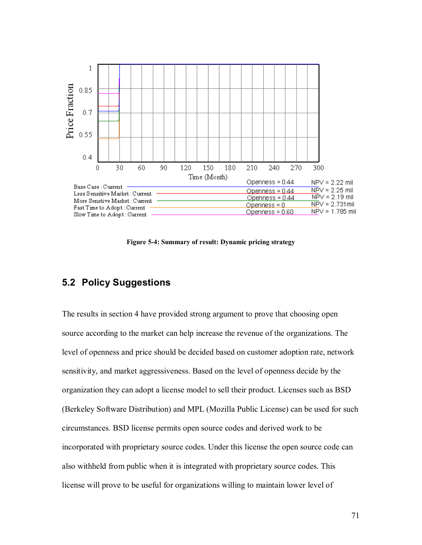

**Figure 5-4: Summary of result: Dynamic pricing strategy** 

### **5.2 Policy Suggestions**

The results in section 4 have provided strong argument to prove that choosing open source according to the market can help increase the revenue of the organizations. The level of openness and price should be decided based on customer adoption rate, network sensitivity, and market aggressiveness. Based on the level of openness decide by the organization they can adopt a license model to sell their product. Licenses such as BSD (Berkeley Software Distribution) and MPL (Mozilla Public License) can be used for such circumstances. BSD license permits open source codes and derived work to be incorporated with proprietary source codes. Under this license the open source code can also withheld from public when it is integrated with proprietary source codes. This license will prove to be useful for organizations willing to maintain lower level of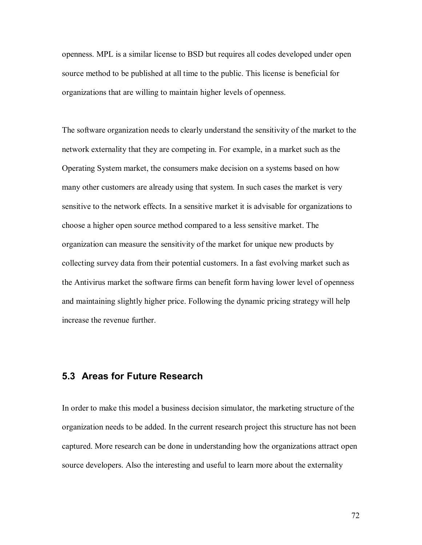openness. MPL is a similar license to BSD but requires all codes developed under open source method to be published at all time to the public. This license is beneficial for organizations that are willing to maintain higher levels of openness.

The software organization needs to clearly understand the sensitivity of the market to the network externality that they are competing in. For example, in a market such as the Operating System market, the consumers make decision on a systems based on how many other customers are already using that system. In such cases the market is very sensitive to the network effects. In a sensitive market it is advisable for organizations to choose a higher open source method compared to a less sensitive market. The organization can measure the sensitivity of the market for unique new products by collecting survey data from their potential customers. In a fast evolving market such as the Antivirus market the software firms can benefit form having lower level of openness and maintaining slightly higher price. Following the dynamic pricing strategy will help increase the revenue further.

#### **5.3 Areas for Future Research**

In order to make this model a business decision simulator, the marketing structure of the organization needs to be added. In the current research project this structure has not been captured. More research can be done in understanding how the organizations attract open source developers. Also the interesting and useful to learn more about the externality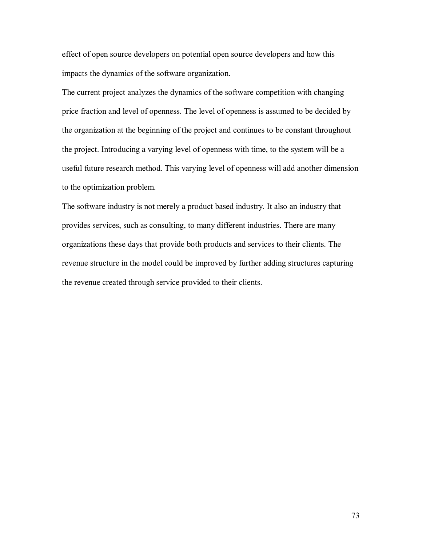effect of open source developers on potential open source developers and how this impacts the dynamics of the software organization.

The current project analyzes the dynamics of the software competition with changing price fraction and level of openness. The level of openness is assumed to be decided by the organization at the beginning of the project and continues to be constant throughout the project. Introducing a varying level of openness with time, to the system will be a useful future research method. This varying level of openness will add another dimension to the optimization problem.

The software industry is not merely a product based industry. It also an industry that provides services, such as consulting, to many different industries. There are many organizations these days that provide both products and services to their clients. The revenue structure in the model could be improved by further adding structures capturing the revenue created through service provided to their clients.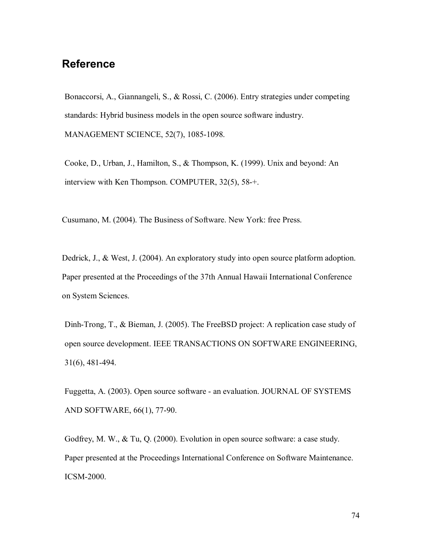## **Reference**

Bonaccorsi, A., Giannangeli, S., & Rossi, C. (2006). Entry strategies under competing standards: Hybrid business models in the open source software industry. MANAGEMENT SCIENCE, 52(7), 1085-1098.

Cooke, D., Urban, J., Hamilton, S., & Thompson, K. (1999). Unix and beyond: An interview with Ken Thompson. COMPUTER, 32(5), 58-+.

Cusumano, M. (2004). The Business of Software. New York: free Press.

Dedrick, J., & West, J. (2004). An exploratory study into open source platform adoption. Paper presented at the Proceedings of the 37th Annual Hawaii International Conference on System Sciences.

Dinh-Trong, T., & Bieman, J. (2005). The FreeBSD project: A replication case study of open source development. IEEE TRANSACTIONS ON SOFTWARE ENGINEERING, 31(6), 481-494.

Fuggetta, A. (2003). Open source software - an evaluation. JOURNAL OF SYSTEMS AND SOFTWARE, 66(1), 77-90.

Godfrey, M. W., & Tu, Q. (2000). Evolution in open source software: a case study. Paper presented at the Proceedings International Conference on Software Maintenance. ICSM-2000.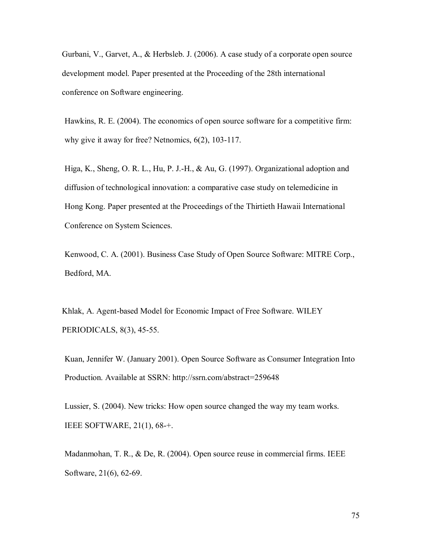Gurbani, V., Garvet, A., & Herbsleb. J. (2006). A case study of a corporate open source development model. Paper presented at the Proceeding of the 28th international conference on Software engineering.

Hawkins, R. E. (2004). The economics of open source software for a competitive firm: why give it away for free? Netnomics, 6(2), 103-117.

Higa, K., Sheng, O. R. L., Hu, P. J.-H., & Au, G. (1997). Organizational adoption and diffusion of technological innovation: a comparative case study on telemedicine in Hong Kong. Paper presented at the Proceedings of the Thirtieth Hawaii International Conference on System Sciences.

Kenwood, C. A. (2001). Business Case Study of Open Source Software: MITRE Corp., Bedford, MA.

Khlak, A. Agent-based Model for Economic Impact of Free Software. WILEY PERIODICALS, 8(3), 45-55.

Kuan, Jennifer W. (January 2001). Open Source Software as Consumer Integration Into Production. Available at SSRN: http://ssrn.com/abstract=259648

Lussier, S. (2004). New tricks: How open source changed the way my team works. IEEE SOFTWARE, 21(1), 68-+.

Madanmohan, T. R., & De, R. (2004). Open source reuse in commercial firms. IEEE Software, 21(6), 62-69.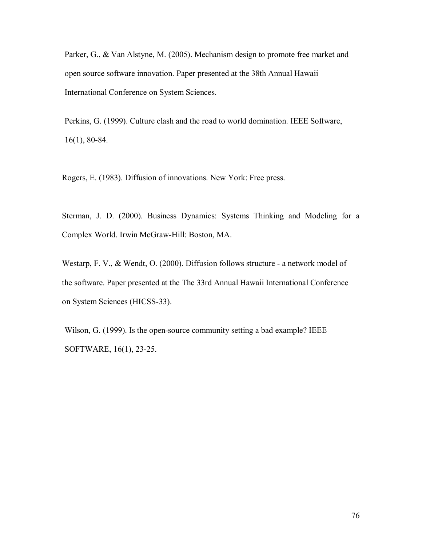Parker, G., & Van Alstyne, M. (2005). Mechanism design to promote free market and open source software innovation. Paper presented at the 38th Annual Hawaii International Conference on System Sciences.

Perkins, G. (1999). Culture clash and the road to world domination. IEEE Software, 16(1), 80-84.

Rogers, E. (1983). Diffusion of innovations. New York: Free press.

Sterman, J. D. (2000). Business Dynamics: Systems Thinking and Modeling for a Complex World. Irwin McGraw-Hill: Boston, MA.

Westarp, F. V., & Wendt, O. (2000). Diffusion follows structure - a network model of the software. Paper presented at the The 33rd Annual Hawaii International Conference on System Sciences (HICSS-33).

Wilson, G. (1999). Is the open-source community setting a bad example? IEEE SOFTWARE, 16(1), 23-25.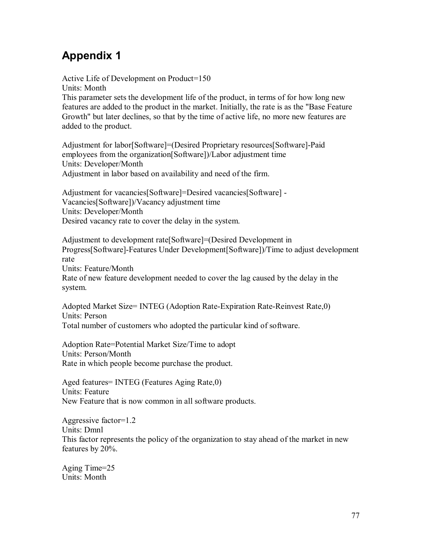# **Appendix 1**

Active Life of Development on Product=150 Units: Month This parameter sets the development life of the product, in terms of for how long new features are added to the product in the market. Initially, the rate is as the "Base Feature Growth" but later declines, so that by the time of active life, no more new features are added to the product.

Adjustment for labor[Software]=(Desired Proprietary resources[Software]-Paid employees from the organization[Software])/Labor adjustment time Units: Developer/Month Adjustment in labor based on availability and need of the firm.

Adjustment for vacancies[Software]=Desired vacancies[Software] - Vacancies[Software])/Vacancy adjustment time Units: Developer/Month Desired vacancy rate to cover the delay in the system.

Adjustment to development rate[Software]=(Desired Development in Progress[Software]-Features Under Development[Software])/Time to adjust development rate Units: Feature/Month Rate of new feature development needed to cover the lag caused by the delay in the system.

Adopted Market Size= INTEG (Adoption Rate-Expiration Rate-Reinvest Rate,0) Units: Person Total number of customers who adopted the particular kind of software.

Adoption Rate=Potential Market Size/Time to adopt Units: Person/Month Rate in which people become purchase the product.

Aged features= INTEG (Features Aging Rate,0) Units: Feature New Feature that is now common in all software products.

Aggressive factor=1.2 Units: Dmnl This factor represents the policy of the organization to stay ahead of the market in new features by 20%.

Aging Time=25 Units: Month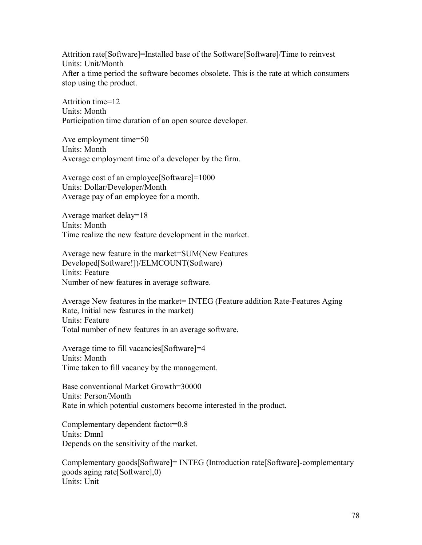Attrition rate[Software]=Installed base of the Software[Software]/Time to reinvest Units: Unit/Month After a time period the software becomes obsolete. This is the rate at which consumers stop using the product.

Attrition time=12 Units: Month Participation time duration of an open source developer.

Ave employment time=50 Units: Month Average employment time of a developer by the firm.

Average cost of an employee[Software]=1000 Units: Dollar/Developer/Month Average pay of an employee for a month.

Average market delay=18 Units: Month Time realize the new feature development in the market.

Average new feature in the market=SUM(New Features Developed[Software!])/ELMCOUNT(Software) Units: Feature Number of new features in average software.

Average New features in the market= INTEG (Feature addition Rate-Features Aging Rate, Initial new features in the market) Units: Feature Total number of new features in an average software.

Average time to fill vacancies[Software]=4 Units: Month Time taken to fill vacancy by the management.

Base conventional Market Growth=30000 Units: Person/Month Rate in which potential customers become interested in the product.

Complementary dependent factor=0.8 Units: Dmnl Depends on the sensitivity of the market.

Complementary goods[Software]= INTEG (Introduction rate[Software]-complementary goods aging rate[Software],0) Units: Unit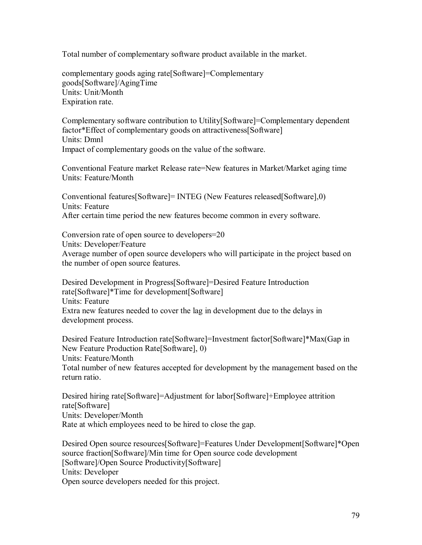Total number of complementary software product available in the market.

complementary goods aging rate[Software]=Complementary goods[Software]/AgingTime Units: Unit/Month Expiration rate.

Complementary software contribution to Utility[Software]=Complementary dependent factor\*Effect of complementary goods on attractiveness[Software] Units: Dmnl Impact of complementary goods on the value of the software.

Conventional Feature market Release rate=New features in Market/Market aging time Units: Feature/Month

Conventional features[Software]= INTEG (New Features released[Software],0) Units: Feature After certain time period the new features become common in every software.

Conversion rate of open source to developers=20 Units: Developer/Feature Average number of open source developers who will participate in the project based on the number of open source features.

Desired Development in Progress[Software]=Desired Feature Introduction rate[Software]\*Time for development[Software] Units: Feature Extra new features needed to cover the lag in development due to the delays in development process.

Desired Feature Introduction rate[Software]=Investment factor[Software]\*Max(Gap in New Feature Production Rate[Software], 0) Units: Feature/Month Total number of new features accepted for development by the management based on the return ratio.

Desired hiring rate[Software]=Adjustment for labor[Software]+Employee attrition rate[Software] Units: Developer/Month Rate at which employees need to be hired to close the gap.

Desired Open source resources[Software]=Features Under Development[Software]\*Open source fraction[Software]/Min time for Open source code development [Software]/Open Source Productivity[Software] Units: Developer Open source developers needed for this project.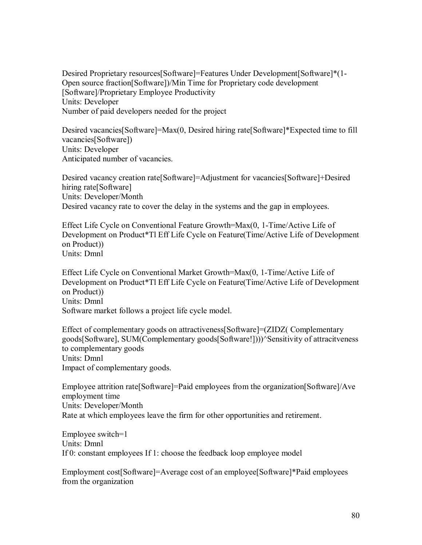Desired Proprietary resources[Software]=Features Under Development[Software]\*(1- Open source fraction[Software])/Min Time for Proprietary code development [Software]/Proprietary Employee Productivity Units: Developer Number of paid developers needed for the project

Desired vacancies[Software]=Max(0, Desired hiring rate[Software]\*Expected time to fill vacancies[Software]) Units: Developer Anticipated number of vacancies.

Desired vacancy creation rate[Software]=Adjustment for vacancies[Software]+Desired hiring rate[Software] Units: Developer/Month Desired vacancy rate to cover the delay in the systems and the gap in employees.

Effect Life Cycle on Conventional Feature Growth=Max(0, 1-Time/Active Life of Development on Product\*Tl Eff Life Cycle on Feature(Time/Active Life of Development on Product)) Units: Dmnl

Effect Life Cycle on Conventional Market Growth=Max(0, 1-Time/Active Life of Development on Product\*Tl Eff Life Cycle on Feature(Time/Active Life of Development on Product)) Units: Dmnl Software market follows a project life cycle model.

Effect of complementary goods on attractiveness[Software]=(ZIDZ( Complementary goods[Software], SUM(Complementary goods[Software!])))^Sensitivity of attracitveness to complementary goods Units: Dmnl Impact of complementary goods.

Employee attrition rate[Software]=Paid employees from the organization[Software]/Ave employment time Units: Developer/Month Rate at which employees leave the firm for other opportunities and retirement.

Employee switch=1 Units: Dmnl If 0: constant employees If 1: choose the feedback loop employee model

Employment cost[Software]=Average cost of an employee[Software]\*Paid employees from the organization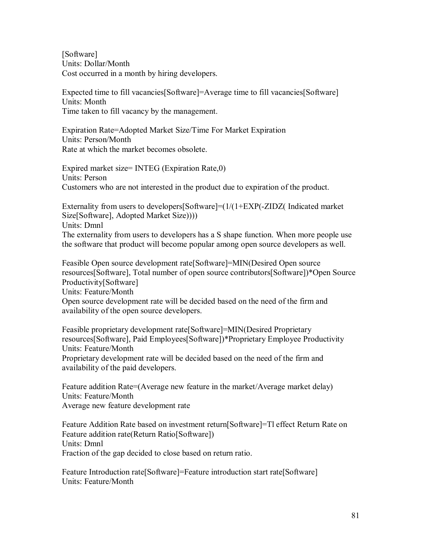[Software] Units: Dollar/Month Cost occurred in a month by hiring developers.

Expected time to fill vacancies[Software]=Average time to fill vacancies[Software] Units: Month Time taken to fill vacancy by the management.

Expiration Rate=Adopted Market Size/Time For Market Expiration Units: Person/Month Rate at which the market becomes obsolete.

Expired market size= INTEG (Expiration Rate,0) Units: Person Customers who are not interested in the product due to expiration of the product.

Externality from users to developers[Software]=(1/(1+EXP(-ZIDZ( Indicated market Size[Software], Adopted Market Size)))) Units: Dmnl

The externality from users to developers has a S shape function. When more people use the software that product will become popular among open source developers as well.

Feasible Open source development rate[Software]=MIN(Desired Open source resources[Software], Total number of open source contributors[Software])\*Open Source Productivity[Software] Units: Feature/Month

Open source development rate will be decided based on the need of the firm and availability of the open source developers.

Feasible proprietary development rate[Software]=MIN(Desired Proprietary resources[Software], Paid Employees[Software])\*Proprietary Employee Productivity Units: Feature/Month

Proprietary development rate will be decided based on the need of the firm and availability of the paid developers.

Feature addition Rate=(Average new feature in the market/Average market delay) Units: Feature/Month Average new feature development rate

Feature Addition Rate based on investment return[Software]=Tl effect Return Rate on Feature addition rate(Return Ratio[Software]) Units: Dmnl Fraction of the gap decided to close based on return ratio.

Feature Introduction rate [Software]=Feature introduction start rate [Software] Units: Feature/Month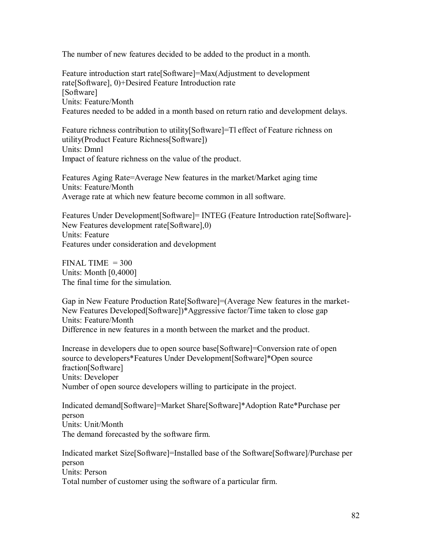The number of new features decided to be added to the product in a month.

Feature introduction start rate[Software]=Max(Adjustment to development rate[Software], 0)+Desired Feature Introduction rate [Software] Units: Feature/Month Features needed to be added in a month based on return ratio and development delays.

Feature richness contribution to utility[Software]=Tl effect of Feature richness on utility(Product Feature Richness[Software]) Units: Dmnl Impact of feature richness on the value of the product.

Features Aging Rate=Average New features in the market/Market aging time Units: Feature/Month Average rate at which new feature become common in all software.

Features Under Development[Software]= INTEG (Feature Introduction rate[Software]- New Features development rate[Software],0) Units: Feature Features under consideration and development

 $FINAL TIME = 300$ Units: Month [0,4000] The final time for the simulation.

Gap in New Feature Production Rate[Software]=(Average New features in the market-New Features Developed[Software])\*Aggressive factor/Time taken to close gap Units: Feature/Month Difference in new features in a month between the market and the product.

Increase in developers due to open source base[Software]=Conversion rate of open source to developers\*Features Under Development[Software]\*Open source fraction[Software] Units: Developer Number of open source developers willing to participate in the project.

Indicated demand[Software]=Market Share[Software]\*Adoption Rate\*Purchase per person Units: Unit/Month The demand forecasted by the software firm.

Indicated market Size[Software]=Installed base of the Software[Software]/Purchase per person Units: Person Total number of customer using the software of a particular firm.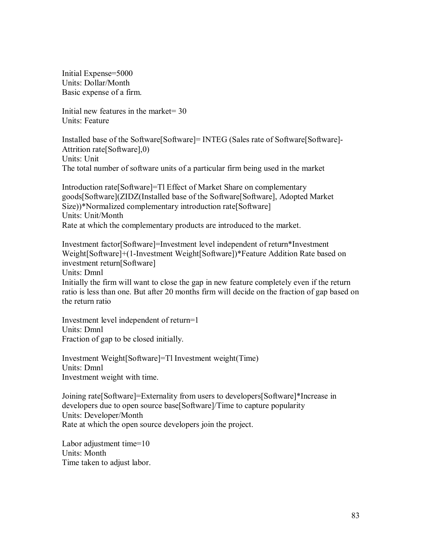Initial Expense=5000 Units: Dollar/Month Basic expense of a firm.

Initial new features in the market= 30 Units: Feature

Installed base of the Software[Software]= INTEG (Sales rate of Software[Software]- Attrition rate[Software],0) Units: Unit The total number of software units of a particular firm being used in the market

Introduction rate[Software]=Tl Effect of Market Share on complementary goods[Software](ZIDZ(Installed base of the Software[Software], Adopted Market Size))\*Normalized complementary introduction rate[Software] Units: Unit/Month Rate at which the complementary products are introduced to the market.

Investment factor[Software]=Investment level independent of return\*Investment Weight[Software]+(1-Investment Weight[Software])\*Feature Addition Rate based on investment return[Software] Units: Dmnl Initially the firm will want to close the gap in new feature completely even if the return ratio is less than one. But after 20 months firm will decide on the fraction of gap based on the return ratio

Investment level independent of return=1 Units: Dmnl Fraction of gap to be closed initially.

Investment Weight[Software]=Tl Investment weight(Time) Units: Dmnl Investment weight with time.

Joining rate[Software]=Externality from users to developers[Software]\*Increase in developers due to open source base[Software]/Time to capture popularity Units: Developer/Month Rate at which the open source developers join the project.

Labor adjustment time=10 Units: Month Time taken to adjust labor.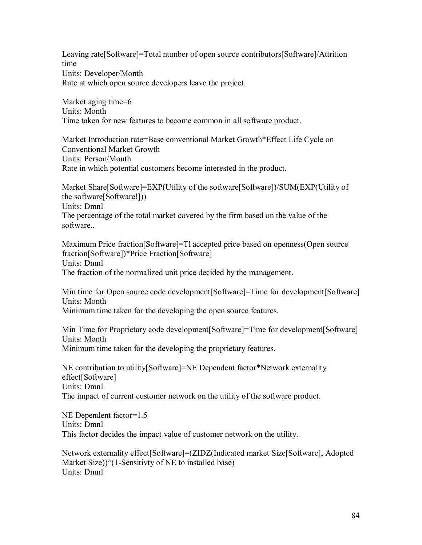Leaving rate[Software]=Total number of open source contributors[Software]/Attrition time Units: Developer/Month Rate at which open source developers leave the project.

Market aging time=6 Units: Month Time taken for new features to become common in all software product.

Market Introduction rate=Base conventional Market Growth\*Effect Life Cycle on Conventional Market Growth Units: Person/Month Rate in which potential customers become interested in the product.

Market Share[Software]=EXP(Utility of the software[Software])/SUM(EXP(Utility of the software[Software!])) Units: Dmnl The percentage of the total market covered by the firm based on the value of the software..

Maximum Price fraction[Software]=Tl accepted price based on openness(Open source fraction[Software])\*Price Fraction[Software] Units: Dmnl The fraction of the normalized unit price decided by the management.

Min time for Open source code development[Software]=Time for development[Software] Units: Month Minimum time taken for the developing the open source features.

Min Time for Proprietary code development[Software]=Time for development[Software] Units: Month Minimum time taken for the developing the proprietary features.

NE contribution to utility[Software]=NE Dependent factor\*Network externality effect[Software] Units: Dmnl The impact of current customer network on the utility of the software product.

NE Dependent factor=1.5 Units: Dmnl This factor decides the impact value of customer network on the utility.

Network externality effect[Software]=(ZIDZ(Indicated market Size[Software], Adopted Market Size) $\frac{\gamma}{1}$ -Sensitivty of NE to installed base) Units: Dmnl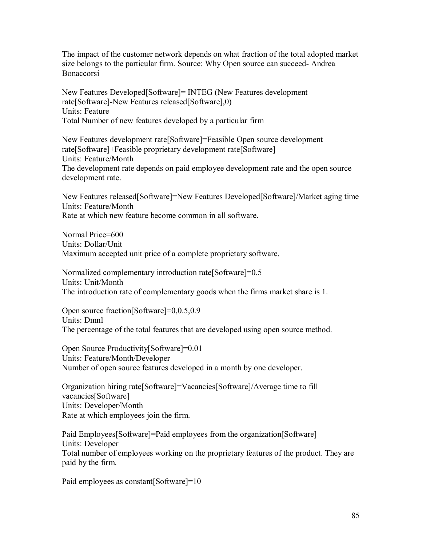The impact of the customer network depends on what fraction of the total adopted market size belongs to the particular firm. Source: Why Open source can succeed- Andrea Bonaccorsi

New Features Developed[Software]= INTEG (New Features development rate[Software]-New Features released[Software],0) Units: Feature Total Number of new features developed by a particular firm

New Features development rate[Software]=Feasible Open source development rate[Software]+Feasible proprietary development rate[Software] Units: Feature/Month The development rate depends on paid employee development rate and the open source development rate.

New Features released[Software]=New Features Developed[Software]/Market aging time Units: Feature/Month Rate at which new feature become common in all software.

Normal Price=600 Units: Dollar/Unit Maximum accepted unit price of a complete proprietary software.

Normalized complementary introduction rate[Software]=0.5 Units: Unit/Month The introduction rate of complementary goods when the firms market share is 1.

Open source fraction[Software]=0,0.5,0.9 Units: Dmnl The percentage of the total features that are developed using open source method.

Open Source Productivity[Software]=0.01 Units: Feature/Month/Developer Number of open source features developed in a month by one developer.

Organization hiring rate[Software]=Vacancies[Software]/Average time to fill vacancies[Software] Units: Developer/Month Rate at which employees join the firm.

Paid Employees[Software]=Paid employees from the organization[Software] Units: Developer Total number of employees working on the proprietary features of the product. They are paid by the firm.

Paid employees as constant [Software]=10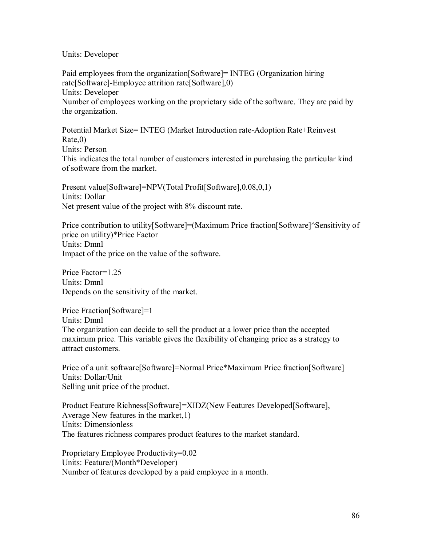#### Units: Developer

Paid employees from the organization[Software]= INTEG (Organization hiring rate[Software]-Employee attrition rate[Software],0) Units: Developer Number of employees working on the proprietary side of the software. They are paid by the organization.

Potential Market Size= INTEG (Market Introduction rate-Adoption Rate+Reinvest Rate,0) Units: Person This indicates the total number of customers interested in purchasing the particular kind of software from the market.

Present value[Software]=NPV(Total Profit[Software],0.08,0,1) Units: Dollar Net present value of the project with 8% discount rate.

Price contribution to utility[Software]=(Maximum Price fraction[Software]^Sensitivity of price on utility)\*Price Factor Units: Dmnl Impact of the price on the value of the software.

Price Factor=1.25 Units: Dmnl Depends on the sensitivity of the market.

Price Fraction[Software]=1 Units: Dmnl The organization can decide to sell the product at a lower price than the accepted maximum price. This variable gives the flexibility of changing price as a strategy to attract customers.

Price of a unit software[Software]=Normal Price\*Maximum Price fraction[Software] Units: Dollar/Unit Selling unit price of the product.

Product Feature Richness[Software]=XIDZ(New Features Developed[Software], Average New features in the market,1) Units: Dimensionless The features richness compares product features to the market standard.

Proprietary Employee Productivity=0.02 Units: Feature/(Month\*Developer) Number of features developed by a paid employee in a month.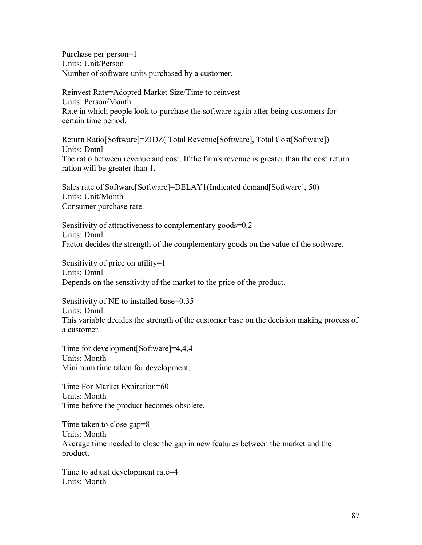Purchase per person=1 Units: Unit/Person Number of software units purchased by a customer.

Reinvest Rate=Adopted Market Size/Time to reinvest Units: Person/Month Rate in which people look to purchase the software again after being customers for certain time period.

Return Ratio[Software]=ZIDZ( Total Revenue[Software], Total Cost[Software]) Units: Dmnl The ratio between revenue and cost. If the firm's revenue is greater than the cost return ration will be greater than 1.

Sales rate of Software[Software]=DELAY1(Indicated demand[Software], 50) Units: Unit/Month Consumer purchase rate.

Sensitivity of attractiveness to complementary goods=0.2 Units: Dmnl Factor decides the strength of the complementary goods on the value of the software.

Sensitivity of price on utility=1 Units: Dmnl Depends on the sensitivity of the market to the price of the product.

Sensitivity of NE to installed base=0.35 Units: Dmnl This variable decides the strength of the customer base on the decision making process of a customer.

Time for development[Software]=4,4,4 Units: Month Minimum time taken for development.

Time For Market Expiration=60 Units: Month Time before the product becomes obsolete.

Time taken to close gap=8 Units: Month Average time needed to close the gap in new features between the market and the product.

Time to adjust development rate=4 Units: Month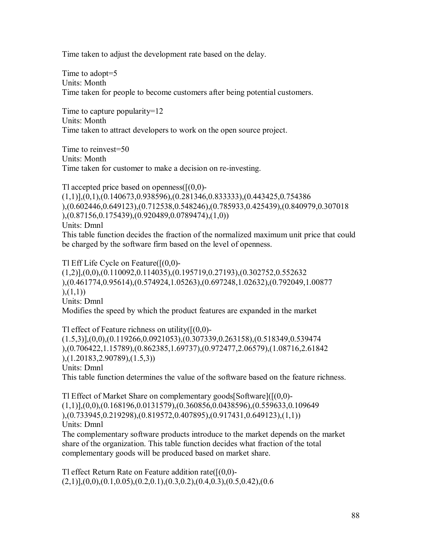Time taken to adjust the development rate based on the delay.

Time to adopt=5 Units: Month Time taken for people to become customers after being potential customers.

Time to capture popularity=12 Units: Month Time taken to attract developers to work on the open source project.

Time to reinvest=50 Units: Month Time taken for customer to make a decision on re-investing.

Tl accepted price based on openness $([0,0)$ -(1,1)],(0,1),(0.140673,0.938596),(0.281346,0.833333),(0.443425,0.754386 ),(0.602446,0.649123),(0.712538,0.548246),(0.785933,0.425439),(0.840979,0.307018 ),(0.87156,0.175439),(0.920489,0.0789474),(1,0)) Units: Dmnl This table function decides the fraction of the normalized maximum unit price that could be charged by the software firm based on the level of openness.

Tl Eff Life Cycle on Feature([(0,0)-  $(1,2)$ ], $(0,0)$ , $(0.110092,0.114035)$ , $(0.195719,0.27193)$ , $(0.302752,0.552632)$ ),(0.461774,0.95614),(0.574924,1.05263),(0.697248,1.02632),(0.792049,1.00877  $), (1,1))$ Units: Dmnl Modifies the speed by which the product features are expanded in the market

Tl effect of Feature richness on utility $([0,0)$ -(1.5,3)],(0,0),(0.119266,0.0921053),(0.307339,0.263158),(0.518349,0.539474 ),(0.706422,1.15789),(0.862385,1.69737),(0.972477,2.06579),(1.08716,2.61842 ),(1.20183,2.90789),(1.5,3)) Units: Dmnl This table function determines the value of the software based on the feature richness.

Tl Effect of Market Share on complementary goods [Software] $([0,0)$ -(1,1)],(0,0),(0.168196,0.0131579),(0.360856,0.0438596),(0.559633,0.109649 ),(0.733945,0.219298),(0.819572,0.407895),(0.917431,0.649123),(1,1)) Units: Dmnl

The complementary software products introduce to the market depends on the market share of the organization. This table function decides what fraction of the total complementary goods will be produced based on market share.

Tl effect Return Rate on Feature addition rate( $[(0,0)$ - $(2,1)$ ], $(0,0)$ , $(0.1,0.05)$ , $(0.2,0.1)$ , $(0.3,0.2)$ , $(0.4,0.3)$ , $(0.5,0.42)$ , $(0.6,0.4)$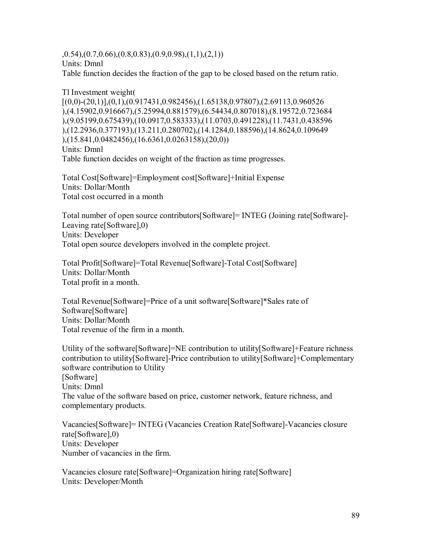$(0.54),(0.7,0.66),(0.8,0.83),(0.9,0.98),(1,1),(2,1))$ Units: Dmnl

Table function decides the fraction of the gap to be closed based on the return ratio.

Tl Investment weight(  $[(0,0)-(20,1)]$ , $(0,1)$ , $(0.917431,0.982456)$ , $(1.65138,0.97807)$ , $(2.69113,0.960526)$ ),(4.15902,0.916667),(5.25994,0.881579),(6.54434,0.807018),(8.19572,0.723684 ),(9.05199,0.675439),(10.0917,0.583333),(11.0703,0.491228),(11.7431,0.438596 ),(12.2936,0.377193),(13.211,0.280702),(14.1284,0.188596),(14.8624,0.109649 ),(15.841,0.0482456),(16.6361,0.0263158),(20,0)) Units: Dmnl Table function decides on weight of the fraction as time progresses.

Total Cost[Software]=Employment cost[Software]+Initial Expense Units: Dollar/Month Total cost occurred in a month

Total number of open source contributors[Software]= INTEG (Joining rate[Software]- Leaving rate[Software],0) Units: Developer Total open source developers involved in the complete project.

Total Profit[Software]=Total Revenue[Software]-Total Cost[Software] Units: Dollar/Month Total profit in a month.

Total Revenue[Software]=Price of a unit software[Software]\*Sales rate of Software[Software] Units: Dollar/Month Total revenue of the firm in a month.

Utility of the software[Software]=NE contribution to utility[Software]+Feature richness contribution to utility[Software]-Price contribution to utility[Software]+Complementary software contribution to Utility [Software] Units: Dmnl The value of the software based on price, customer network, feature richness, and complementary products.

Vacancies[Software]= INTEG (Vacancies Creation Rate[Software]-Vacancies closure rate[Software],0) Units: Developer Number of vacancies in the firm.

Vacancies closure rate[Software]=Organization hiring rate[Software] Units: Developer/Month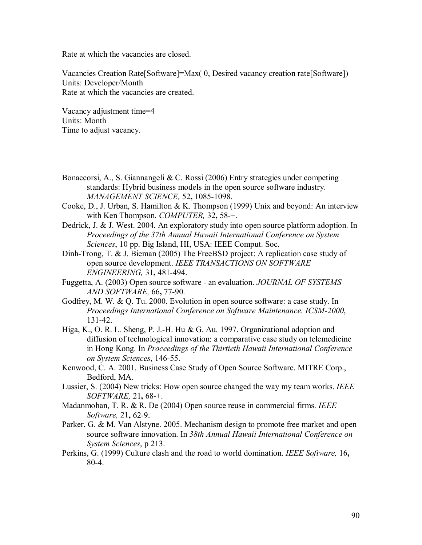Rate at which the vacancies are closed.

Vacancies Creation Rate[Software]=Max( 0, Desired vacancy creation rate[Software]) Units: Developer/Month Rate at which the vacancies are created.

Vacancy adjustment time=4 Units: Month Time to adjust vacancy.

- Bonaccorsi, A., S. Giannangeli & C. Rossi (2006) Entry strategies under competing standards: Hybrid business models in the open source software industry. *MANAGEMENT SCIENCE,* 52**,** 1085-1098.
- Cooke, D., J. Urban, S. Hamilton & K. Thompson (1999) Unix and beyond: An interview with Ken Thompson. *COMPUTER,* 32**,** 58-+.

Dedrick, J. & J. West. 2004. An exploratory study into open source platform adoption. In *Proceedings of the 37th Annual Hawaii International Conference on System Sciences*, 10 pp. Big Island, HI, USA: IEEE Comput. Soc.

- Dinh-Trong, T. & J. Bieman (2005) The FreeBSD project: A replication case study of open source development. *IEEE TRANSACTIONS ON SOFTWARE ENGINEERING,* 31**,** 481-494.
- Fuggetta, A. (2003) Open source software an evaluation. *JOURNAL OF SYSTEMS AND SOFTWARE,* 66**,** 77-90.
- Godfrey, M. W. & Q. Tu. 2000. Evolution in open source software: a case study. In *Proceedings International Conference on Software Maintenance. ICSM-2000*, 131-42.
- Higa, K., O. R. L. Sheng, P. J.-H. Hu & G. Au. 1997. Organizational adoption and diffusion of technological innovation: a comparative case study on telemedicine in Hong Kong. In *Proceedings of the Thirtieth Hawaii International Conference on System Sciences*, 146-55.
- Kenwood, C. A. 2001. Business Case Study of Open Source Software. MITRE Corp., Bedford, MA.
- Lussier, S. (2004) New tricks: How open source changed the way my team works. *IEEE SOFTWARE,* 21**,** 68-+.
- Madanmohan, T. R. & R. De (2004) Open source reuse in commercial firms. *IEEE Software,* 21**,** 62-9.
- Parker, G. & M. Van Alstyne. 2005. Mechanism design to promote free market and open source software innovation. In *38th Annual Hawaii International Conference on System Sciences*, p 213.
- Perkins, G. (1999) Culture clash and the road to world domination. *IEEE Software,* 16**,** 80-4.